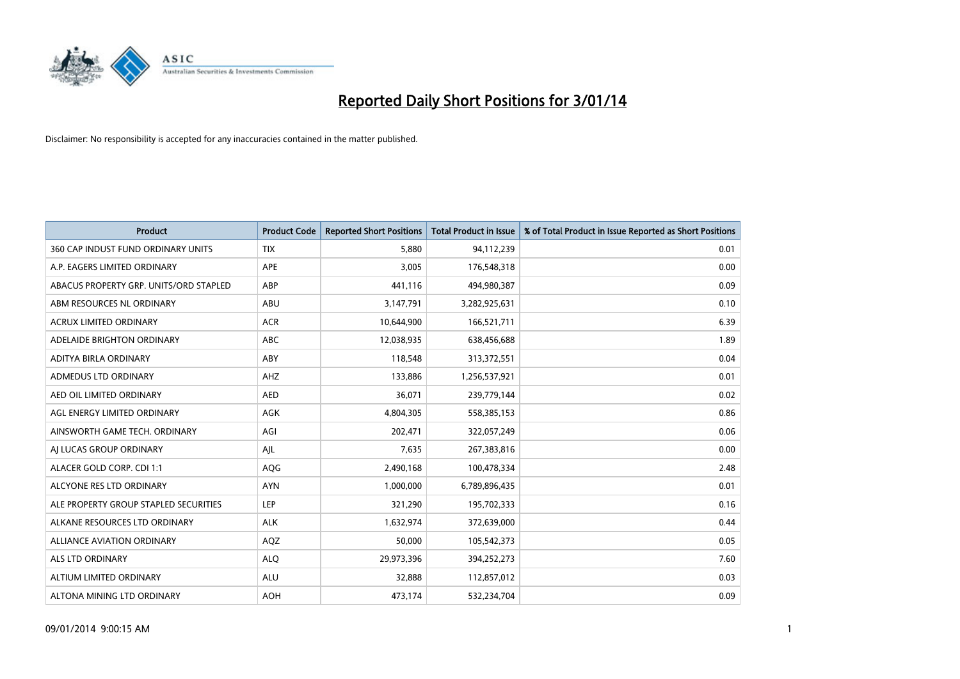

| <b>Product</b>                         | <b>Product Code</b> | <b>Reported Short Positions</b> | Total Product in Issue | % of Total Product in Issue Reported as Short Positions |
|----------------------------------------|---------------------|---------------------------------|------------------------|---------------------------------------------------------|
| 360 CAP INDUST FUND ORDINARY UNITS     | <b>TIX</b>          | 5,880                           | 94,112,239             | 0.01                                                    |
| A.P. EAGERS LIMITED ORDINARY           | <b>APE</b>          | 3,005                           | 176,548,318            | 0.00                                                    |
| ABACUS PROPERTY GRP. UNITS/ORD STAPLED | ABP                 | 441,116                         | 494,980,387            | 0.09                                                    |
| ABM RESOURCES NL ORDINARY              | ABU                 | 3,147,791                       | 3,282,925,631          | 0.10                                                    |
| <b>ACRUX LIMITED ORDINARY</b>          | <b>ACR</b>          | 10,644,900                      | 166,521,711            | 6.39                                                    |
| ADELAIDE BRIGHTON ORDINARY             | <b>ABC</b>          | 12,038,935                      | 638,456,688            | 1.89                                                    |
| ADITYA BIRLA ORDINARY                  | ABY                 | 118,548                         | 313,372,551            | 0.04                                                    |
| ADMEDUS LTD ORDINARY                   | <b>AHZ</b>          | 133,886                         | 1,256,537,921          | 0.01                                                    |
| AED OIL LIMITED ORDINARY               | <b>AED</b>          | 36,071                          | 239,779,144            | 0.02                                                    |
| AGL ENERGY LIMITED ORDINARY            | <b>AGK</b>          | 4,804,305                       | 558,385,153            | 0.86                                                    |
| AINSWORTH GAME TECH. ORDINARY          | AGI                 | 202,471                         | 322,057,249            | 0.06                                                    |
| AI LUCAS GROUP ORDINARY                | AJL                 | 7,635                           | 267,383,816            | 0.00                                                    |
| ALACER GOLD CORP. CDI 1:1              | AQG                 | 2,490,168                       | 100,478,334            | 2.48                                                    |
| ALCYONE RES LTD ORDINARY               | <b>AYN</b>          | 1,000,000                       | 6,789,896,435          | 0.01                                                    |
| ALE PROPERTY GROUP STAPLED SECURITIES  | LEP                 | 321,290                         | 195,702,333            | 0.16                                                    |
| ALKANE RESOURCES LTD ORDINARY          | <b>ALK</b>          | 1,632,974                       | 372,639,000            | 0.44                                                    |
| ALLIANCE AVIATION ORDINARY             | AQZ                 | 50,000                          | 105,542,373            | 0.05                                                    |
| ALS LTD ORDINARY                       | <b>ALQ</b>          | 29,973,396                      | 394,252,273            | 7.60                                                    |
| ALTIUM LIMITED ORDINARY                | <b>ALU</b>          | 32,888                          | 112,857,012            | 0.03                                                    |
| ALTONA MINING LTD ORDINARY             | <b>AOH</b>          | 473,174                         | 532,234,704            | 0.09                                                    |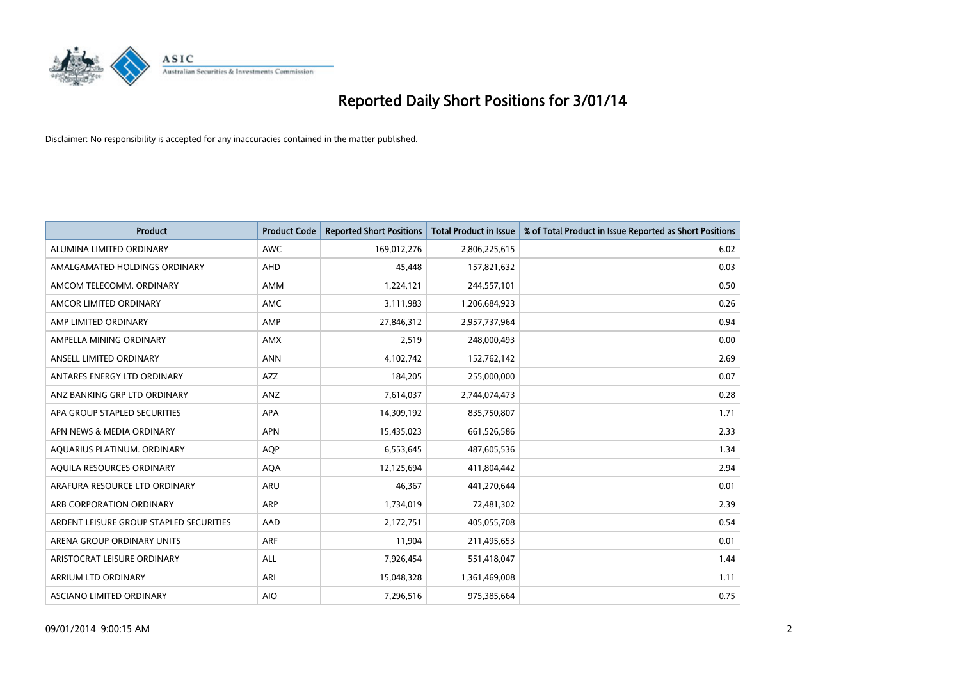

| <b>Product</b>                          | <b>Product Code</b> | <b>Reported Short Positions</b> | <b>Total Product in Issue</b> | % of Total Product in Issue Reported as Short Positions |
|-----------------------------------------|---------------------|---------------------------------|-------------------------------|---------------------------------------------------------|
| ALUMINA LIMITED ORDINARY                | <b>AWC</b>          | 169,012,276                     | 2,806,225,615                 | 6.02                                                    |
| AMALGAMATED HOLDINGS ORDINARY           | <b>AHD</b>          | 45,448                          | 157,821,632                   | 0.03                                                    |
| AMCOM TELECOMM, ORDINARY                | <b>AMM</b>          | 1,224,121                       | 244,557,101                   | 0.50                                                    |
| AMCOR LIMITED ORDINARY                  | <b>AMC</b>          | 3,111,983                       | 1,206,684,923                 | 0.26                                                    |
| AMP LIMITED ORDINARY                    | AMP                 | 27,846,312                      | 2,957,737,964                 | 0.94                                                    |
| AMPELLA MINING ORDINARY                 | <b>AMX</b>          | 2,519                           | 248,000,493                   | 0.00                                                    |
| ANSELL LIMITED ORDINARY                 | <b>ANN</b>          | 4,102,742                       | 152,762,142                   | 2.69                                                    |
| ANTARES ENERGY LTD ORDINARY             | <b>AZZ</b>          | 184,205                         | 255,000,000                   | 0.07                                                    |
| ANZ BANKING GRP LTD ORDINARY            | ANZ                 | 7,614,037                       | 2,744,074,473                 | 0.28                                                    |
| APA GROUP STAPLED SECURITIES            | APA                 | 14,309,192                      | 835,750,807                   | 1.71                                                    |
| APN NEWS & MEDIA ORDINARY               | <b>APN</b>          | 15,435,023                      | 661,526,586                   | 2.33                                                    |
| AQUARIUS PLATINUM. ORDINARY             | <b>AQP</b>          | 6,553,645                       | 487,605,536                   | 1.34                                                    |
| AQUILA RESOURCES ORDINARY               | <b>AQA</b>          | 12,125,694                      | 411,804,442                   | 2.94                                                    |
| ARAFURA RESOURCE LTD ORDINARY           | <b>ARU</b>          | 46,367                          | 441,270,644                   | 0.01                                                    |
| ARB CORPORATION ORDINARY                | ARP                 | 1,734,019                       | 72,481,302                    | 2.39                                                    |
| ARDENT LEISURE GROUP STAPLED SECURITIES | AAD                 | 2,172,751                       | 405,055,708                   | 0.54                                                    |
| ARENA GROUP ORDINARY UNITS              | <b>ARF</b>          | 11,904                          | 211,495,653                   | 0.01                                                    |
| ARISTOCRAT LEISURE ORDINARY             | <b>ALL</b>          | 7,926,454                       | 551,418,047                   | 1.44                                                    |
| ARRIUM LTD ORDINARY                     | ARI                 | 15,048,328                      | 1,361,469,008                 | 1.11                                                    |
| ASCIANO LIMITED ORDINARY                | <b>AIO</b>          | 7,296,516                       | 975,385,664                   | 0.75                                                    |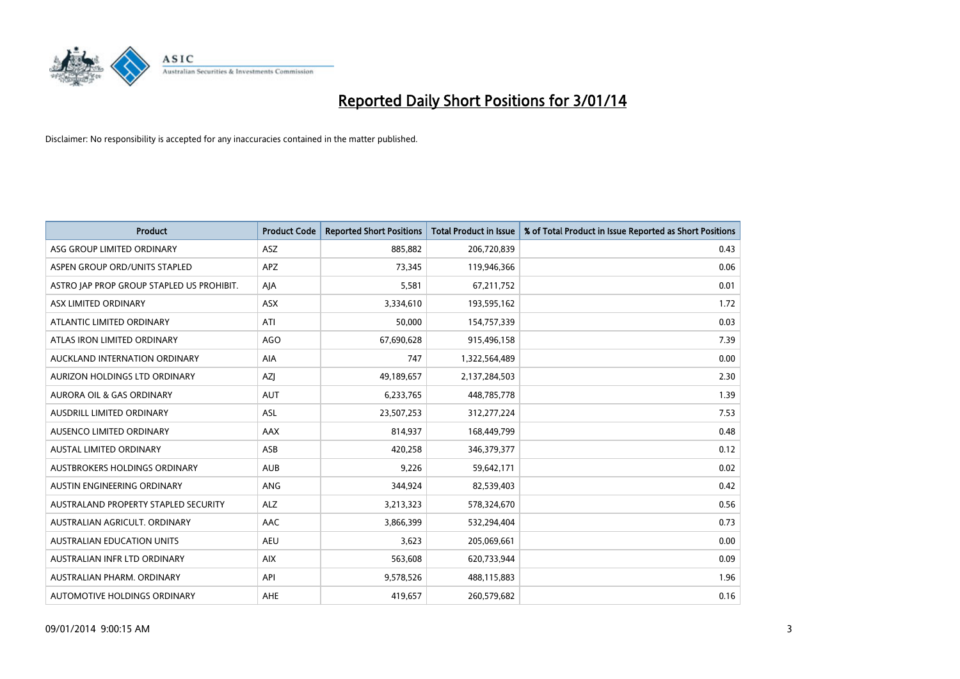

| Product                                   | <b>Product Code</b> | <b>Reported Short Positions</b> | <b>Total Product in Issue</b> | % of Total Product in Issue Reported as Short Positions |
|-------------------------------------------|---------------------|---------------------------------|-------------------------------|---------------------------------------------------------|
| ASG GROUP LIMITED ORDINARY                | <b>ASZ</b>          | 885,882                         | 206,720,839                   | 0.43                                                    |
| ASPEN GROUP ORD/UNITS STAPLED             | <b>APZ</b>          | 73,345                          | 119,946,366                   | 0.06                                                    |
| ASTRO JAP PROP GROUP STAPLED US PROHIBIT. | AJA                 | 5,581                           | 67,211,752                    | 0.01                                                    |
| ASX LIMITED ORDINARY                      | ASX                 | 3,334,610                       | 193,595,162                   | 1.72                                                    |
| ATLANTIC LIMITED ORDINARY                 | ATI                 | 50,000                          | 154,757,339                   | 0.03                                                    |
| ATLAS IRON LIMITED ORDINARY               | <b>AGO</b>          | 67,690,628                      | 915,496,158                   | 7.39                                                    |
| AUCKLAND INTERNATION ORDINARY             | <b>AIA</b>          | 747                             | 1,322,564,489                 | 0.00                                                    |
| AURIZON HOLDINGS LTD ORDINARY             | AZJ                 | 49,189,657                      | 2,137,284,503                 | 2.30                                                    |
| <b>AURORA OIL &amp; GAS ORDINARY</b>      | <b>AUT</b>          | 6,233,765                       | 448,785,778                   | 1.39                                                    |
| AUSDRILL LIMITED ORDINARY                 | ASL                 | 23,507,253                      | 312,277,224                   | 7.53                                                    |
| AUSENCO LIMITED ORDINARY                  | AAX                 | 814,937                         | 168,449,799                   | 0.48                                                    |
| <b>AUSTAL LIMITED ORDINARY</b>            | ASB                 | 420,258                         | 346,379,377                   | 0.12                                                    |
| AUSTBROKERS HOLDINGS ORDINARY             | <b>AUB</b>          | 9,226                           | 59,642,171                    | 0.02                                                    |
| AUSTIN ENGINEERING ORDINARY               | ANG                 | 344,924                         | 82,539,403                    | 0.42                                                    |
| AUSTRALAND PROPERTY STAPLED SECURITY      | <b>ALZ</b>          | 3,213,323                       | 578,324,670                   | 0.56                                                    |
| AUSTRALIAN AGRICULT, ORDINARY             | AAC                 | 3,866,399                       | 532,294,404                   | 0.73                                                    |
| <b>AUSTRALIAN EDUCATION UNITS</b>         | <b>AEU</b>          | 3,623                           | 205,069,661                   | 0.00                                                    |
| AUSTRALIAN INFR LTD ORDINARY              | <b>AIX</b>          | 563,608                         | 620,733,944                   | 0.09                                                    |
| AUSTRALIAN PHARM, ORDINARY                | API                 | 9,578,526                       | 488,115,883                   | 1.96                                                    |
| AUTOMOTIVE HOLDINGS ORDINARY              | <b>AHE</b>          | 419,657                         | 260,579,682                   | 0.16                                                    |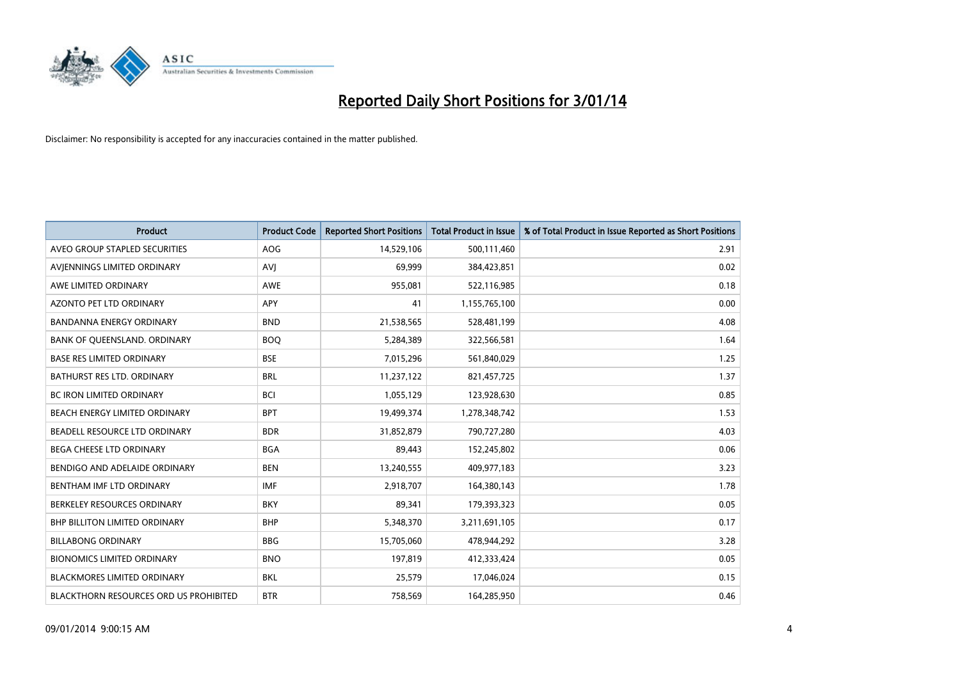

| <b>Product</b>                                | <b>Product Code</b> | <b>Reported Short Positions</b> | <b>Total Product in Issue</b> | % of Total Product in Issue Reported as Short Positions |
|-----------------------------------------------|---------------------|---------------------------------|-------------------------------|---------------------------------------------------------|
| AVEO GROUP STAPLED SECURITIES                 | <b>AOG</b>          | 14,529,106                      | 500,111,460                   | 2.91                                                    |
| AVIENNINGS LIMITED ORDINARY                   | <b>AVJ</b>          | 69,999                          | 384,423,851                   | 0.02                                                    |
| AWE LIMITED ORDINARY                          | <b>AWE</b>          | 955,081                         | 522,116,985                   | 0.18                                                    |
| AZONTO PET LTD ORDINARY                       | <b>APY</b>          | 41                              | 1,155,765,100                 | 0.00                                                    |
| <b>BANDANNA ENERGY ORDINARY</b>               | <b>BND</b>          | 21,538,565                      | 528,481,199                   | 4.08                                                    |
| BANK OF QUEENSLAND. ORDINARY                  | <b>BOO</b>          | 5,284,389                       | 322,566,581                   | 1.64                                                    |
| <b>BASE RES LIMITED ORDINARY</b>              | <b>BSE</b>          | 7,015,296                       | 561,840,029                   | 1.25                                                    |
| BATHURST RES LTD. ORDINARY                    | <b>BRL</b>          | 11,237,122                      | 821,457,725                   | 1.37                                                    |
| <b>BC IRON LIMITED ORDINARY</b>               | <b>BCI</b>          | 1,055,129                       | 123,928,630                   | 0.85                                                    |
| BEACH ENERGY LIMITED ORDINARY                 | <b>BPT</b>          | 19,499,374                      | 1,278,348,742                 | 1.53                                                    |
| BEADELL RESOURCE LTD ORDINARY                 | <b>BDR</b>          | 31,852,879                      | 790,727,280                   | 4.03                                                    |
| <b>BEGA CHEESE LTD ORDINARY</b>               | <b>BGA</b>          | 89,443                          | 152,245,802                   | 0.06                                                    |
| BENDIGO AND ADELAIDE ORDINARY                 | <b>BEN</b>          | 13,240,555                      | 409,977,183                   | 3.23                                                    |
| BENTHAM IMF LTD ORDINARY                      | <b>IMF</b>          | 2,918,707                       | 164,380,143                   | 1.78                                                    |
| BERKELEY RESOURCES ORDINARY                   | <b>BKY</b>          | 89,341                          | 179,393,323                   | 0.05                                                    |
| <b>BHP BILLITON LIMITED ORDINARY</b>          | <b>BHP</b>          | 5,348,370                       | 3,211,691,105                 | 0.17                                                    |
| <b>BILLABONG ORDINARY</b>                     | <b>BBG</b>          | 15,705,060                      | 478,944,292                   | 3.28                                                    |
| <b>BIONOMICS LIMITED ORDINARY</b>             | <b>BNO</b>          | 197,819                         | 412,333,424                   | 0.05                                                    |
| <b>BLACKMORES LIMITED ORDINARY</b>            | <b>BKL</b>          | 25,579                          | 17,046,024                    | 0.15                                                    |
| <b>BLACKTHORN RESOURCES ORD US PROHIBITED</b> | <b>BTR</b>          | 758,569                         | 164,285,950                   | 0.46                                                    |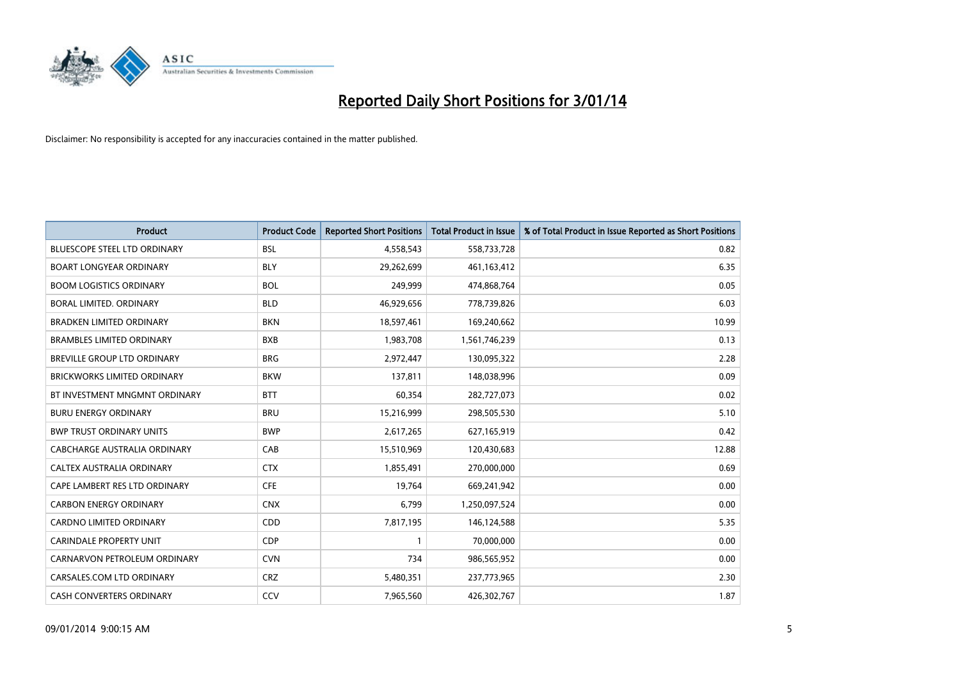

| <b>Product</b>                      | <b>Product Code</b> | <b>Reported Short Positions</b> | Total Product in Issue | % of Total Product in Issue Reported as Short Positions |
|-------------------------------------|---------------------|---------------------------------|------------------------|---------------------------------------------------------|
| <b>BLUESCOPE STEEL LTD ORDINARY</b> | <b>BSL</b>          | 4,558,543                       | 558,733,728            | 0.82                                                    |
| <b>BOART LONGYEAR ORDINARY</b>      | <b>BLY</b>          | 29,262,699                      | 461,163,412            | 6.35                                                    |
| <b>BOOM LOGISTICS ORDINARY</b>      | <b>BOL</b>          | 249,999                         | 474,868,764            | 0.05                                                    |
| BORAL LIMITED, ORDINARY             | <b>BLD</b>          | 46,929,656                      | 778,739,826            | 6.03                                                    |
| <b>BRADKEN LIMITED ORDINARY</b>     | <b>BKN</b>          | 18,597,461                      | 169,240,662            | 10.99                                                   |
| <b>BRAMBLES LIMITED ORDINARY</b>    | <b>BXB</b>          | 1,983,708                       | 1,561,746,239          | 0.13                                                    |
| BREVILLE GROUP LTD ORDINARY         | <b>BRG</b>          | 2,972,447                       | 130,095,322            | 2.28                                                    |
| <b>BRICKWORKS LIMITED ORDINARY</b>  | <b>BKW</b>          | 137,811                         | 148,038,996            | 0.09                                                    |
| BT INVESTMENT MNGMNT ORDINARY       | <b>BTT</b>          | 60,354                          | 282,727,073            | 0.02                                                    |
| <b>BURU ENERGY ORDINARY</b>         | <b>BRU</b>          | 15,216,999                      | 298,505,530            | 5.10                                                    |
| <b>BWP TRUST ORDINARY UNITS</b>     | <b>BWP</b>          | 2,617,265                       | 627,165,919            | 0.42                                                    |
| CABCHARGE AUSTRALIA ORDINARY        | CAB                 | 15,510,969                      | 120,430,683            | 12.88                                                   |
| CALTEX AUSTRALIA ORDINARY           | <b>CTX</b>          | 1,855,491                       | 270,000,000            | 0.69                                                    |
| CAPE LAMBERT RES LTD ORDINARY       | <b>CFE</b>          | 19,764                          | 669,241,942            | 0.00                                                    |
| <b>CARBON ENERGY ORDINARY</b>       | <b>CNX</b>          | 6,799                           | 1,250,097,524          | 0.00                                                    |
| <b>CARDNO LIMITED ORDINARY</b>      | CDD                 | 7,817,195                       | 146,124,588            | 5.35                                                    |
| CARINDALE PROPERTY UNIT             | <b>CDP</b>          | $\mathbf{1}$                    | 70,000,000             | 0.00                                                    |
| CARNARVON PETROLEUM ORDINARY        | <b>CVN</b>          | 734                             | 986,565,952            | 0.00                                                    |
| CARSALES.COM LTD ORDINARY           | <b>CRZ</b>          | 5,480,351                       | 237,773,965            | 2.30                                                    |
| <b>CASH CONVERTERS ORDINARY</b>     | CCV                 | 7,965,560                       | 426,302,767            | 1.87                                                    |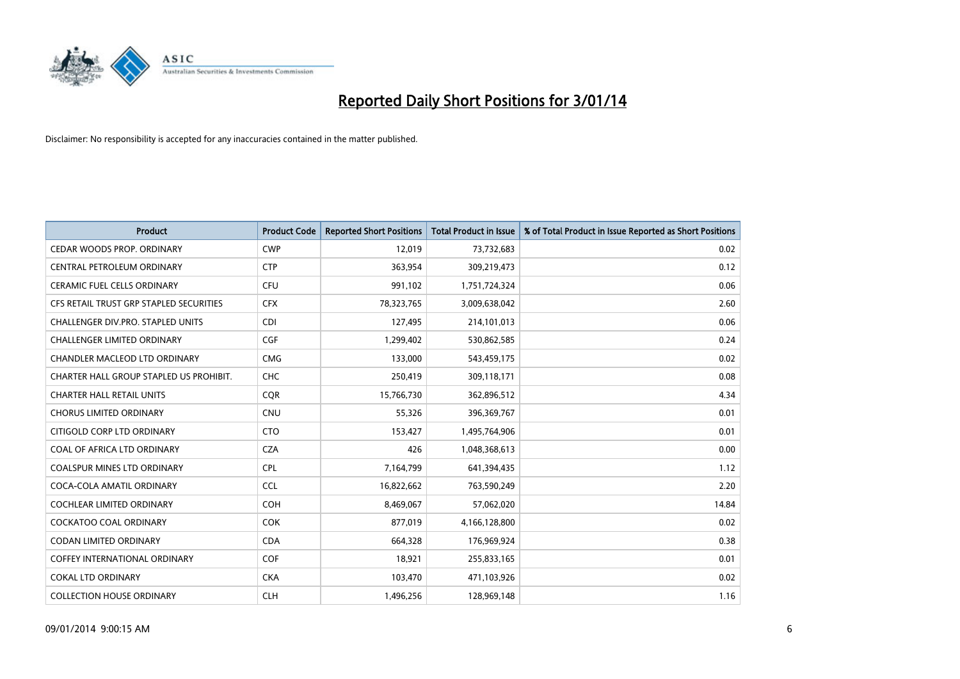

| Product                                 | <b>Product Code</b> | <b>Reported Short Positions</b> | Total Product in Issue | % of Total Product in Issue Reported as Short Positions |
|-----------------------------------------|---------------------|---------------------------------|------------------------|---------------------------------------------------------|
| CEDAR WOODS PROP. ORDINARY              | <b>CWP</b>          | 12,019                          | 73,732,683             | 0.02                                                    |
| CENTRAL PETROLEUM ORDINARY              | <b>CTP</b>          | 363,954                         | 309,219,473            | 0.12                                                    |
| <b>CERAMIC FUEL CELLS ORDINARY</b>      | <b>CFU</b>          | 991,102                         | 1,751,724,324          | 0.06                                                    |
| CFS RETAIL TRUST GRP STAPLED SECURITIES | <b>CFX</b>          | 78,323,765                      | 3,009,638,042          | 2.60                                                    |
| CHALLENGER DIV.PRO. STAPLED UNITS       | <b>CDI</b>          | 127,495                         | 214,101,013            | 0.06                                                    |
| <b>CHALLENGER LIMITED ORDINARY</b>      | CGF                 | 1,299,402                       | 530,862,585            | 0.24                                                    |
| CHANDLER MACLEOD LTD ORDINARY           | <b>CMG</b>          | 133.000                         | 543,459,175            | 0.02                                                    |
| CHARTER HALL GROUP STAPLED US PROHIBIT. | <b>CHC</b>          | 250,419                         | 309,118,171            | 0.08                                                    |
| <b>CHARTER HALL RETAIL UNITS</b>        | <b>COR</b>          | 15,766,730                      | 362,896,512            | 4.34                                                    |
| <b>CHORUS LIMITED ORDINARY</b>          | CNU                 | 55,326                          | 396,369,767            | 0.01                                                    |
| CITIGOLD CORP LTD ORDINARY              | <b>CTO</b>          | 153,427                         | 1,495,764,906          | 0.01                                                    |
| COAL OF AFRICA LTD ORDINARY             | <b>CZA</b>          | 426                             | 1,048,368,613          | 0.00                                                    |
| <b>COALSPUR MINES LTD ORDINARY</b>      | <b>CPL</b>          | 7,164,799                       | 641,394,435            | 1.12                                                    |
| COCA-COLA AMATIL ORDINARY               | <b>CCL</b>          | 16,822,662                      | 763,590,249            | 2.20                                                    |
| <b>COCHLEAR LIMITED ORDINARY</b>        | <b>COH</b>          | 8,469,067                       | 57,062,020             | 14.84                                                   |
| <b>COCKATOO COAL ORDINARY</b>           | <b>COK</b>          | 877,019                         | 4,166,128,800          | 0.02                                                    |
| <b>CODAN LIMITED ORDINARY</b>           | <b>CDA</b>          | 664,328                         | 176,969,924            | 0.38                                                    |
| <b>COFFEY INTERNATIONAL ORDINARY</b>    | <b>COF</b>          | 18.921                          | 255,833,165            | 0.01                                                    |
| <b>COKAL LTD ORDINARY</b>               | <b>CKA</b>          | 103,470                         | 471,103,926            | 0.02                                                    |
| <b>COLLECTION HOUSE ORDINARY</b>        | <b>CLH</b>          | 1,496,256                       | 128,969,148            | 1.16                                                    |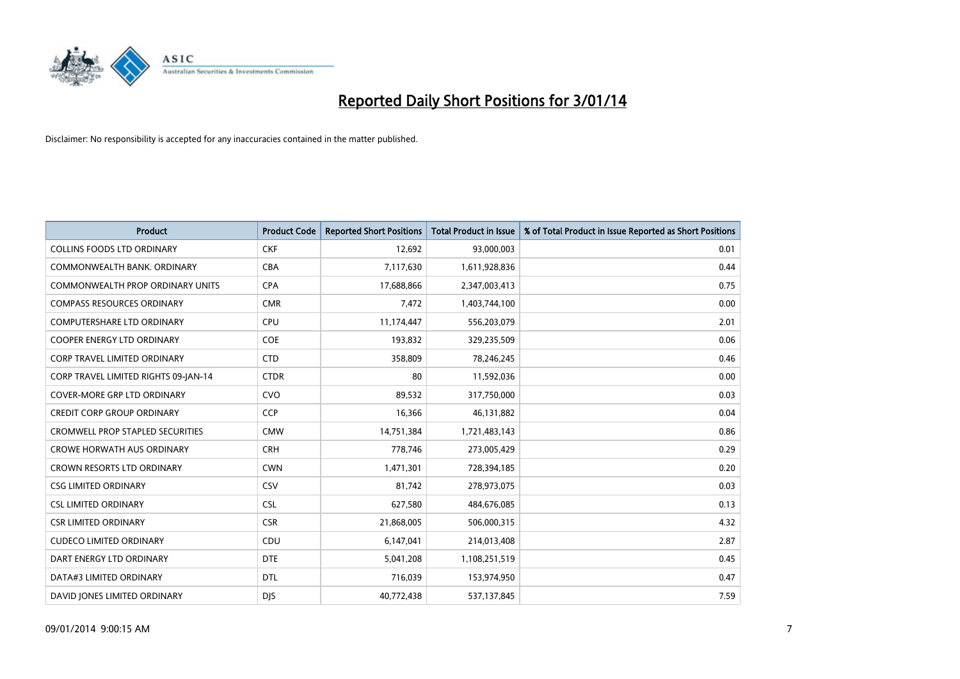

| <b>Product</b>                          | <b>Product Code</b> | <b>Reported Short Positions</b> | <b>Total Product in Issue</b> | % of Total Product in Issue Reported as Short Positions |
|-----------------------------------------|---------------------|---------------------------------|-------------------------------|---------------------------------------------------------|
| <b>COLLINS FOODS LTD ORDINARY</b>       | <b>CKF</b>          | 12,692                          | 93,000,003                    | 0.01                                                    |
| COMMONWEALTH BANK, ORDINARY             | <b>CBA</b>          | 7,117,630                       | 1,611,928,836                 | 0.44                                                    |
| COMMONWEALTH PROP ORDINARY UNITS        | <b>CPA</b>          | 17,688,866                      | 2,347,003,413                 | 0.75                                                    |
| <b>COMPASS RESOURCES ORDINARY</b>       | <b>CMR</b>          | 7,472                           | 1,403,744,100                 | 0.00                                                    |
| <b>COMPUTERSHARE LTD ORDINARY</b>       | <b>CPU</b>          | 11,174,447                      | 556,203,079                   | 2.01                                                    |
| <b>COOPER ENERGY LTD ORDINARY</b>       | <b>COE</b>          | 193,832                         | 329,235,509                   | 0.06                                                    |
| <b>CORP TRAVEL LIMITED ORDINARY</b>     | <b>CTD</b>          | 358,809                         | 78,246,245                    | 0.46                                                    |
| CORP TRAVEL LIMITED RIGHTS 09-JAN-14    | <b>CTDR</b>         | 80                              | 11,592,036                    | 0.00                                                    |
| <b>COVER-MORE GRP LTD ORDINARY</b>      | <b>CVO</b>          | 89,532                          | 317,750,000                   | 0.03                                                    |
| <b>CREDIT CORP GROUP ORDINARY</b>       | <b>CCP</b>          | 16,366                          | 46,131,882                    | 0.04                                                    |
| <b>CROMWELL PROP STAPLED SECURITIES</b> | <b>CMW</b>          | 14,751,384                      | 1,721,483,143                 | 0.86                                                    |
| <b>CROWE HORWATH AUS ORDINARY</b>       | <b>CRH</b>          | 778,746                         | 273,005,429                   | 0.29                                                    |
| CROWN RESORTS LTD ORDINARY              | <b>CWN</b>          | 1,471,301                       | 728,394,185                   | 0.20                                                    |
| <b>CSG LIMITED ORDINARY</b>             | <b>CSV</b>          | 81,742                          | 278,973,075                   | 0.03                                                    |
| <b>CSL LIMITED ORDINARY</b>             | <b>CSL</b>          | 627,580                         | 484,676,085                   | 0.13                                                    |
| <b>CSR LIMITED ORDINARY</b>             | <b>CSR</b>          | 21,868,005                      | 506,000,315                   | 4.32                                                    |
| <b>CUDECO LIMITED ORDINARY</b>          | CDU                 | 6,147,041                       | 214,013,408                   | 2.87                                                    |
| DART ENERGY LTD ORDINARY                | <b>DTE</b>          | 5,041,208                       | 1,108,251,519                 | 0.45                                                    |
| DATA#3 LIMITED ORDINARY                 | DTL                 | 716,039                         | 153,974,950                   | 0.47                                                    |
| DAVID JONES LIMITED ORDINARY            | <b>DJS</b>          | 40,772,438                      | 537,137,845                   | 7.59                                                    |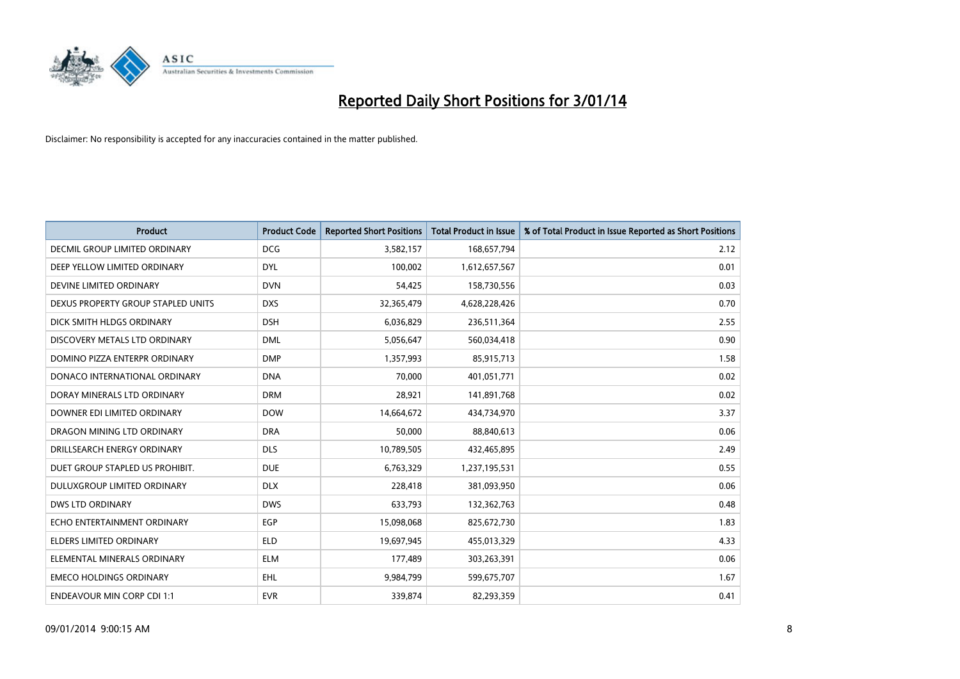

| Product                            | <b>Product Code</b> | <b>Reported Short Positions</b> | <b>Total Product in Issue</b> | % of Total Product in Issue Reported as Short Positions |
|------------------------------------|---------------------|---------------------------------|-------------------------------|---------------------------------------------------------|
| DECMIL GROUP LIMITED ORDINARY      | <b>DCG</b>          | 3,582,157                       | 168,657,794                   | 2.12                                                    |
| DEEP YELLOW LIMITED ORDINARY       | <b>DYL</b>          | 100,002                         | 1,612,657,567                 | 0.01                                                    |
| DEVINE LIMITED ORDINARY            | <b>DVN</b>          | 54,425                          | 158,730,556                   | 0.03                                                    |
| DEXUS PROPERTY GROUP STAPLED UNITS | <b>DXS</b>          | 32,365,479                      | 4,628,228,426                 | 0.70                                                    |
| DICK SMITH HLDGS ORDINARY          | <b>DSH</b>          | 6,036,829                       | 236,511,364                   | 2.55                                                    |
| DISCOVERY METALS LTD ORDINARY      | <b>DML</b>          | 5,056,647                       | 560,034,418                   | 0.90                                                    |
| DOMINO PIZZA ENTERPR ORDINARY      | <b>DMP</b>          | 1,357,993                       | 85,915,713                    | 1.58                                                    |
| DONACO INTERNATIONAL ORDINARY      | <b>DNA</b>          | 70,000                          | 401,051,771                   | 0.02                                                    |
| DORAY MINERALS LTD ORDINARY        | <b>DRM</b>          | 28,921                          | 141,891,768                   | 0.02                                                    |
| DOWNER EDI LIMITED ORDINARY        | <b>DOW</b>          | 14,664,672                      | 434,734,970                   | 3.37                                                    |
| DRAGON MINING LTD ORDINARY         | <b>DRA</b>          | 50,000                          | 88,840,613                    | 0.06                                                    |
| DRILLSEARCH ENERGY ORDINARY        | <b>DLS</b>          | 10,789,505                      | 432,465,895                   | 2.49                                                    |
| DUET GROUP STAPLED US PROHIBIT.    | <b>DUE</b>          | 6,763,329                       | 1,237,195,531                 | 0.55                                                    |
| DULUXGROUP LIMITED ORDINARY        | <b>DLX</b>          | 228,418                         | 381,093,950                   | 0.06                                                    |
| <b>DWS LTD ORDINARY</b>            | <b>DWS</b>          | 633,793                         | 132,362,763                   | 0.48                                                    |
| ECHO ENTERTAINMENT ORDINARY        | <b>EGP</b>          | 15,098,068                      | 825,672,730                   | 1.83                                                    |
| ELDERS LIMITED ORDINARY            | <b>ELD</b>          | 19,697,945                      | 455,013,329                   | 4.33                                                    |
| ELEMENTAL MINERALS ORDINARY        | <b>ELM</b>          | 177,489                         | 303,263,391                   | 0.06                                                    |
| <b>EMECO HOLDINGS ORDINARY</b>     | EHL                 | 9,984,799                       | 599,675,707                   | 1.67                                                    |
| <b>ENDEAVOUR MIN CORP CDI 1:1</b>  | <b>EVR</b>          | 339,874                         | 82,293,359                    | 0.41                                                    |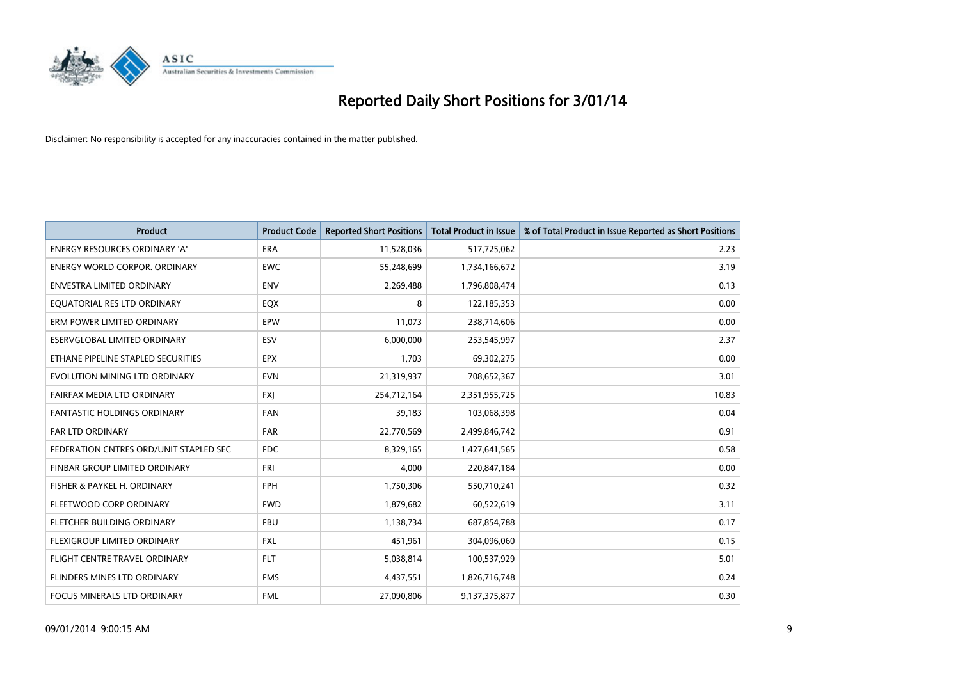

| <b>Product</b>                         | <b>Product Code</b> | <b>Reported Short Positions</b> | <b>Total Product in Issue</b> | % of Total Product in Issue Reported as Short Positions |
|----------------------------------------|---------------------|---------------------------------|-------------------------------|---------------------------------------------------------|
| <b>ENERGY RESOURCES ORDINARY 'A'</b>   | <b>ERA</b>          | 11,528,036                      | 517,725,062                   | 2.23                                                    |
| <b>ENERGY WORLD CORPOR, ORDINARY</b>   | <b>EWC</b>          | 55,248,699                      | 1,734,166,672                 | 3.19                                                    |
| <b>ENVESTRA LIMITED ORDINARY</b>       | <b>ENV</b>          | 2,269,488                       | 1,796,808,474                 | 0.13                                                    |
| EQUATORIAL RES LTD ORDINARY            | <b>EQX</b>          | 8                               | 122,185,353                   | 0.00                                                    |
| ERM POWER LIMITED ORDINARY             | EPW                 | 11,073                          | 238,714,606                   | 0.00                                                    |
| ESERVGLOBAL LIMITED ORDINARY           | ESV                 | 6,000,000                       | 253,545,997                   | 2.37                                                    |
| ETHANE PIPELINE STAPLED SECURITIES     | <b>EPX</b>          | 1.703                           | 69,302,275                    | 0.00                                                    |
| EVOLUTION MINING LTD ORDINARY          | <b>EVN</b>          | 21,319,937                      | 708,652,367                   | 3.01                                                    |
| FAIRFAX MEDIA LTD ORDINARY             | <b>FXI</b>          | 254,712,164                     | 2,351,955,725                 | 10.83                                                   |
| <b>FANTASTIC HOLDINGS ORDINARY</b>     | FAN                 | 39,183                          | 103,068,398                   | 0.04                                                    |
| FAR LTD ORDINARY                       | FAR                 | 22,770,569                      | 2,499,846,742                 | 0.91                                                    |
| FEDERATION CNTRES ORD/UNIT STAPLED SEC | <b>FDC</b>          | 8,329,165                       | 1,427,641,565                 | 0.58                                                    |
| FINBAR GROUP LIMITED ORDINARY          | <b>FRI</b>          | 4,000                           | 220,847,184                   | 0.00                                                    |
| FISHER & PAYKEL H. ORDINARY            | <b>FPH</b>          | 1,750,306                       | 550,710,241                   | 0.32                                                    |
| FLEETWOOD CORP ORDINARY                | <b>FWD</b>          | 1,879,682                       | 60,522,619                    | 3.11                                                    |
| FLETCHER BUILDING ORDINARY             | <b>FBU</b>          | 1,138,734                       | 687,854,788                   | 0.17                                                    |
| FLEXIGROUP LIMITED ORDINARY            | <b>FXL</b>          | 451,961                         | 304,096,060                   | 0.15                                                    |
| FLIGHT CENTRE TRAVEL ORDINARY          | <b>FLT</b>          | 5,038,814                       | 100,537,929                   | 5.01                                                    |
| FLINDERS MINES LTD ORDINARY            | <b>FMS</b>          | 4,437,551                       | 1,826,716,748                 | 0.24                                                    |
| FOCUS MINERALS LTD ORDINARY            | <b>FML</b>          | 27,090,806                      | 9,137,375,877                 | 0.30                                                    |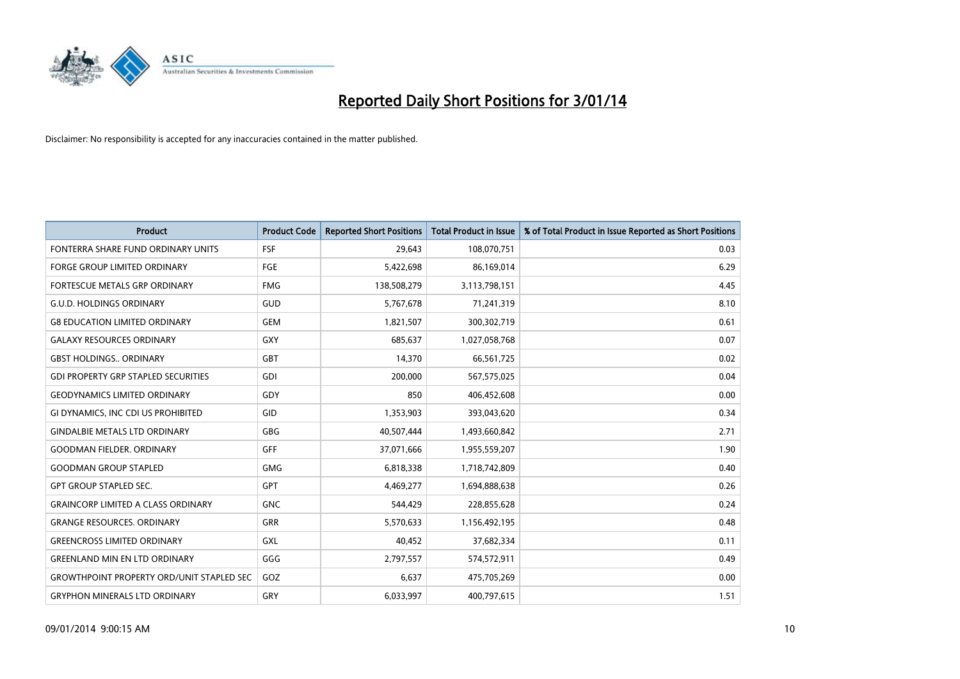

| Product                                          | <b>Product Code</b> | <b>Reported Short Positions</b> | <b>Total Product in Issue</b> | % of Total Product in Issue Reported as Short Positions |
|--------------------------------------------------|---------------------|---------------------------------|-------------------------------|---------------------------------------------------------|
| FONTERRA SHARE FUND ORDINARY UNITS               | <b>FSF</b>          | 29,643                          | 108,070,751                   | 0.03                                                    |
| <b>FORGE GROUP LIMITED ORDINARY</b>              | <b>FGE</b>          | 5,422,698                       | 86,169,014                    | 6.29                                                    |
| FORTESCUE METALS GRP ORDINARY                    | <b>FMG</b>          | 138,508,279                     | 3,113,798,151                 | 4.45                                                    |
| <b>G.U.D. HOLDINGS ORDINARY</b>                  | <b>GUD</b>          | 5,767,678                       | 71,241,319                    | 8.10                                                    |
| <b>G8 EDUCATION LIMITED ORDINARY</b>             | GEM                 | 1,821,507                       | 300,302,719                   | 0.61                                                    |
| <b>GALAXY RESOURCES ORDINARY</b>                 | GXY                 | 685,637                         | 1,027,058,768                 | 0.07                                                    |
| <b>GBST HOLDINGS ORDINARY</b>                    | GBT                 | 14,370                          | 66,561,725                    | 0.02                                                    |
| <b>GDI PROPERTY GRP STAPLED SECURITIES</b>       | GDI                 | 200,000                         | 567,575,025                   | 0.04                                                    |
| <b>GEODYNAMICS LIMITED ORDINARY</b>              | GDY                 | 850                             | 406,452,608                   | 0.00                                                    |
| GI DYNAMICS, INC CDI US PROHIBITED               | GID                 | 1,353,903                       | 393,043,620                   | 0.34                                                    |
| <b>GINDALBIE METALS LTD ORDINARY</b>             | <b>GBG</b>          | 40,507,444                      | 1,493,660,842                 | 2.71                                                    |
| <b>GOODMAN FIELDER, ORDINARY</b>                 | <b>GFF</b>          | 37,071,666                      | 1,955,559,207                 | 1.90                                                    |
| <b>GOODMAN GROUP STAPLED</b>                     | <b>GMG</b>          | 6,818,338                       | 1,718,742,809                 | 0.40                                                    |
| <b>GPT GROUP STAPLED SEC.</b>                    | GPT                 | 4,469,277                       | 1,694,888,638                 | 0.26                                                    |
| <b>GRAINCORP LIMITED A CLASS ORDINARY</b>        | GNC                 | 544,429                         | 228,855,628                   | 0.24                                                    |
| <b>GRANGE RESOURCES, ORDINARY</b>                | GRR                 | 5,570,633                       | 1,156,492,195                 | 0.48                                                    |
| <b>GREENCROSS LIMITED ORDINARY</b>               | GXL                 | 40,452                          | 37,682,334                    | 0.11                                                    |
| <b>GREENLAND MIN EN LTD ORDINARY</b>             | GGG                 | 2,797,557                       | 574,572,911                   | 0.49                                                    |
| <b>GROWTHPOINT PROPERTY ORD/UNIT STAPLED SEC</b> | <b>GOZ</b>          | 6,637                           | 475,705,269                   | 0.00                                                    |
| <b>GRYPHON MINERALS LTD ORDINARY</b>             | GRY                 | 6,033,997                       | 400,797,615                   | 1.51                                                    |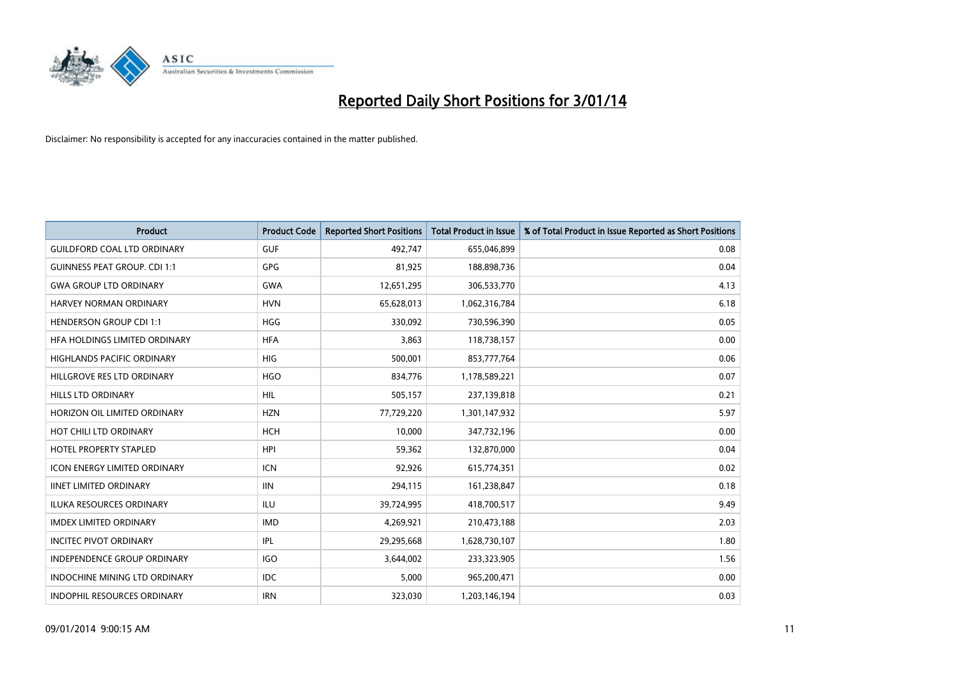

| <b>Product</b>                       | <b>Product Code</b> | <b>Reported Short Positions</b> | Total Product in Issue | % of Total Product in Issue Reported as Short Positions |
|--------------------------------------|---------------------|---------------------------------|------------------------|---------------------------------------------------------|
| <b>GUILDFORD COAL LTD ORDINARY</b>   | <b>GUF</b>          | 492,747                         | 655,046,899            | 0.08                                                    |
| <b>GUINNESS PEAT GROUP. CDI 1:1</b>  | <b>GPG</b>          | 81,925                          | 188,898,736            | 0.04                                                    |
| <b>GWA GROUP LTD ORDINARY</b>        | <b>GWA</b>          | 12,651,295                      | 306,533,770            | 4.13                                                    |
| HARVEY NORMAN ORDINARY               | <b>HVN</b>          | 65,628,013                      | 1,062,316,784          | 6.18                                                    |
| <b>HENDERSON GROUP CDI 1:1</b>       | <b>HGG</b>          | 330,092                         | 730,596,390            | 0.05                                                    |
| HFA HOLDINGS LIMITED ORDINARY        | <b>HFA</b>          | 3,863                           | 118,738,157            | 0.00                                                    |
| <b>HIGHLANDS PACIFIC ORDINARY</b>    | <b>HIG</b>          | 500,001                         | 853,777,764            | 0.06                                                    |
| HILLGROVE RES LTD ORDINARY           | <b>HGO</b>          | 834,776                         | 1,178,589,221          | 0.07                                                    |
| <b>HILLS LTD ORDINARY</b>            | HIL                 | 505,157                         | 237,139,818            | 0.21                                                    |
| HORIZON OIL LIMITED ORDINARY         | <b>HZN</b>          | 77,729,220                      | 1,301,147,932          | 5.97                                                    |
| HOT CHILI LTD ORDINARY               | <b>HCH</b>          | 10,000                          | 347,732,196            | 0.00                                                    |
| <b>HOTEL PROPERTY STAPLED</b>        | <b>HPI</b>          | 59,362                          | 132,870,000            | 0.04                                                    |
| <b>ICON ENERGY LIMITED ORDINARY</b>  | <b>ICN</b>          | 92,926                          | 615,774,351            | 0.02                                                    |
| <b>IINET LIMITED ORDINARY</b>        | <b>IIN</b>          | 294,115                         | 161,238,847            | 0.18                                                    |
| <b>ILUKA RESOURCES ORDINARY</b>      | <b>ILU</b>          | 39,724,995                      | 418,700,517            | 9.49                                                    |
| <b>IMDEX LIMITED ORDINARY</b>        | <b>IMD</b>          | 4,269,921                       | 210,473,188            | 2.03                                                    |
| <b>INCITEC PIVOT ORDINARY</b>        | IPL                 | 29,295,668                      | 1,628,730,107          | 1.80                                                    |
| <b>INDEPENDENCE GROUP ORDINARY</b>   | <b>IGO</b>          | 3,644,002                       | 233,323,905            | 1.56                                                    |
| <b>INDOCHINE MINING LTD ORDINARY</b> | <b>IDC</b>          | 5,000                           | 965,200,471            | 0.00                                                    |
| <b>INDOPHIL RESOURCES ORDINARY</b>   | <b>IRN</b>          | 323,030                         | 1,203,146,194          | 0.03                                                    |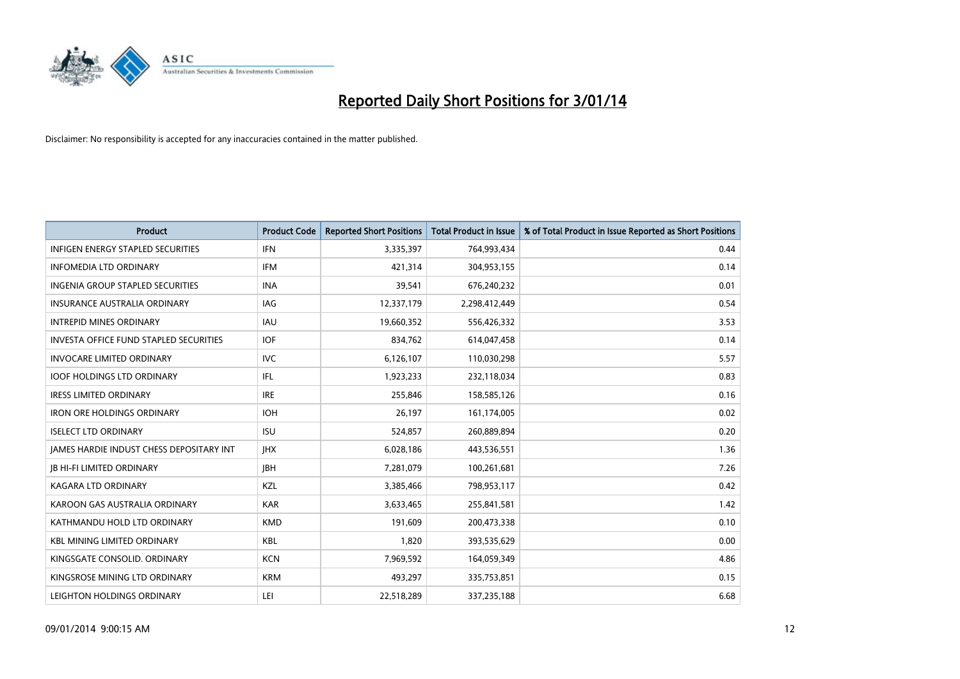

| <b>Product</b>                                | <b>Product Code</b> | <b>Reported Short Positions</b> | <b>Total Product in Issue</b> | % of Total Product in Issue Reported as Short Positions |
|-----------------------------------------------|---------------------|---------------------------------|-------------------------------|---------------------------------------------------------|
| <b>INFIGEN ENERGY STAPLED SECURITIES</b>      | <b>IFN</b>          | 3,335,397                       | 764,993,434                   | 0.44                                                    |
| <b>INFOMEDIA LTD ORDINARY</b>                 | <b>IFM</b>          | 421,314                         | 304,953,155                   | 0.14                                                    |
| <b>INGENIA GROUP STAPLED SECURITIES</b>       | <b>INA</b>          | 39,541                          | 676,240,232                   | 0.01                                                    |
| <b>INSURANCE AUSTRALIA ORDINARY</b>           | IAG                 | 12,337,179                      | 2,298,412,449                 | 0.54                                                    |
| <b>INTREPID MINES ORDINARY</b>                | <b>IAU</b>          | 19,660,352                      | 556,426,332                   | 3.53                                                    |
| <b>INVESTA OFFICE FUND STAPLED SECURITIES</b> | <b>IOF</b>          | 834,762                         | 614,047,458                   | 0.14                                                    |
| <b>INVOCARE LIMITED ORDINARY</b>              | <b>IVC</b>          | 6,126,107                       | 110,030,298                   | 5.57                                                    |
| <b>IOOF HOLDINGS LTD ORDINARY</b>             | IFL                 | 1,923,233                       | 232,118,034                   | 0.83                                                    |
| <b>IRESS LIMITED ORDINARY</b>                 | <b>IRE</b>          | 255,846                         | 158,585,126                   | 0.16                                                    |
| <b>IRON ORE HOLDINGS ORDINARY</b>             | <b>IOH</b>          | 26,197                          | 161,174,005                   | 0.02                                                    |
| <b>ISELECT LTD ORDINARY</b>                   | <b>ISU</b>          | 524,857                         | 260,889,894                   | 0.20                                                    |
| JAMES HARDIE INDUST CHESS DEPOSITARY INT      | <b>IHX</b>          | 6,028,186                       | 443,536,551                   | 1.36                                                    |
| <b>JB HI-FI LIMITED ORDINARY</b>              | <b>JBH</b>          | 7,281,079                       | 100,261,681                   | 7.26                                                    |
| <b>KAGARA LTD ORDINARY</b>                    | <b>KZL</b>          | 3,385,466                       | 798,953,117                   | 0.42                                                    |
| KAROON GAS AUSTRALIA ORDINARY                 | <b>KAR</b>          | 3,633,465                       | 255,841,581                   | 1.42                                                    |
| KATHMANDU HOLD LTD ORDINARY                   | <b>KMD</b>          | 191,609                         | 200,473,338                   | 0.10                                                    |
| <b>KBL MINING LIMITED ORDINARY</b>            | <b>KBL</b>          | 1,820                           | 393,535,629                   | 0.00                                                    |
| KINGSGATE CONSOLID. ORDINARY                  | <b>KCN</b>          | 7,969,592                       | 164,059,349                   | 4.86                                                    |
| KINGSROSE MINING LTD ORDINARY                 | <b>KRM</b>          | 493,297                         | 335,753,851                   | 0.15                                                    |
| LEIGHTON HOLDINGS ORDINARY                    | LEI                 | 22,518,289                      | 337,235,188                   | 6.68                                                    |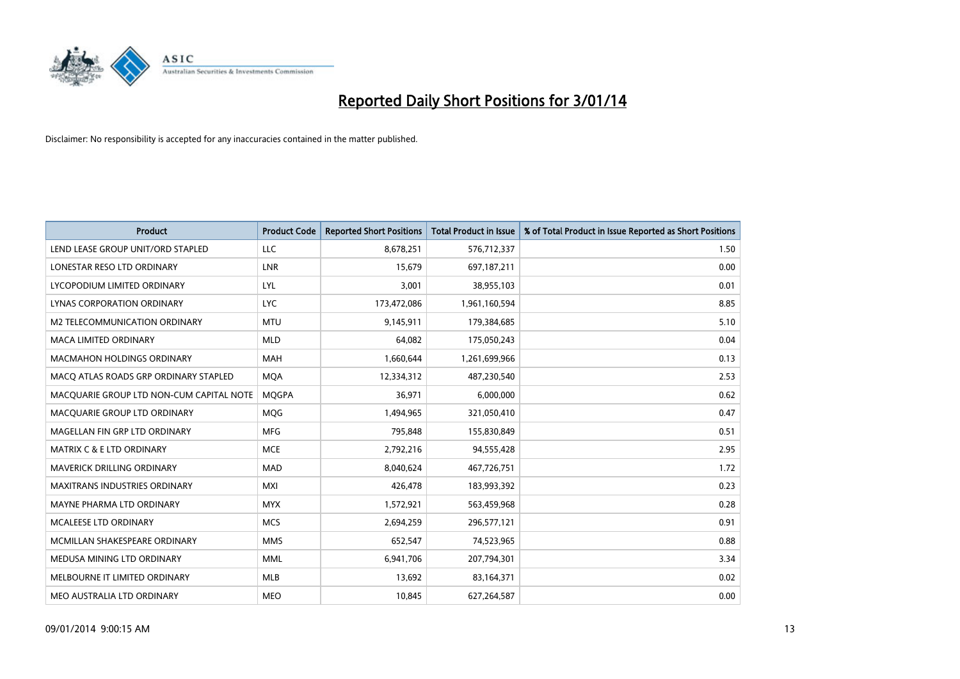

| <b>Product</b>                           | <b>Product Code</b> | <b>Reported Short Positions</b> | Total Product in Issue | % of Total Product in Issue Reported as Short Positions |
|------------------------------------------|---------------------|---------------------------------|------------------------|---------------------------------------------------------|
| LEND LEASE GROUP UNIT/ORD STAPLED        | <b>LLC</b>          | 8,678,251                       | 576,712,337            | 1.50                                                    |
| LONESTAR RESO LTD ORDINARY               | <b>LNR</b>          | 15,679                          | 697,187,211            | 0.00                                                    |
| LYCOPODIUM LIMITED ORDINARY              | <b>LYL</b>          | 3,001                           | 38,955,103             | 0.01                                                    |
| LYNAS CORPORATION ORDINARY               | <b>LYC</b>          | 173,472,086                     | 1,961,160,594          | 8.85                                                    |
| M2 TELECOMMUNICATION ORDINARY            | <b>MTU</b>          | 9,145,911                       | 179,384,685            | 5.10                                                    |
| <b>MACA LIMITED ORDINARY</b>             | <b>MLD</b>          | 64,082                          | 175,050,243            | 0.04                                                    |
| <b>MACMAHON HOLDINGS ORDINARY</b>        | <b>MAH</b>          | 1,660,644                       | 1,261,699,966          | 0.13                                                    |
| MACO ATLAS ROADS GRP ORDINARY STAPLED    | <b>MQA</b>          | 12,334,312                      | 487,230,540            | 2.53                                                    |
| MACQUARIE GROUP LTD NON-CUM CAPITAL NOTE | <b>MOGPA</b>        | 36,971                          | 6,000,000              | 0.62                                                    |
| MACQUARIE GROUP LTD ORDINARY             | <b>MOG</b>          | 1,494,965                       | 321,050,410            | 0.47                                                    |
| MAGELLAN FIN GRP LTD ORDINARY            | <b>MFG</b>          | 795,848                         | 155,830,849            | 0.51                                                    |
| <b>MATRIX C &amp; E LTD ORDINARY</b>     | <b>MCE</b>          | 2,792,216                       | 94,555,428             | 2.95                                                    |
| <b>MAVERICK DRILLING ORDINARY</b>        | <b>MAD</b>          | 8,040,624                       | 467,726,751            | 1.72                                                    |
| MAXITRANS INDUSTRIES ORDINARY            | <b>MXI</b>          | 426,478                         | 183,993,392            | 0.23                                                    |
| MAYNE PHARMA LTD ORDINARY                | <b>MYX</b>          | 1,572,921                       | 563,459,968            | 0.28                                                    |
| <b>MCALEESE LTD ORDINARY</b>             | <b>MCS</b>          | 2,694,259                       | 296,577,121            | 0.91                                                    |
| MCMILLAN SHAKESPEARE ORDINARY            | <b>MMS</b>          | 652,547                         | 74,523,965             | 0.88                                                    |
| MEDUSA MINING LTD ORDINARY               | <b>MML</b>          | 6,941,706                       | 207,794,301            | 3.34                                                    |
| MELBOURNE IT LIMITED ORDINARY            | <b>MLB</b>          | 13,692                          | 83,164,371             | 0.02                                                    |
| MEO AUSTRALIA LTD ORDINARY               | <b>MEO</b>          | 10,845                          | 627,264,587            | 0.00                                                    |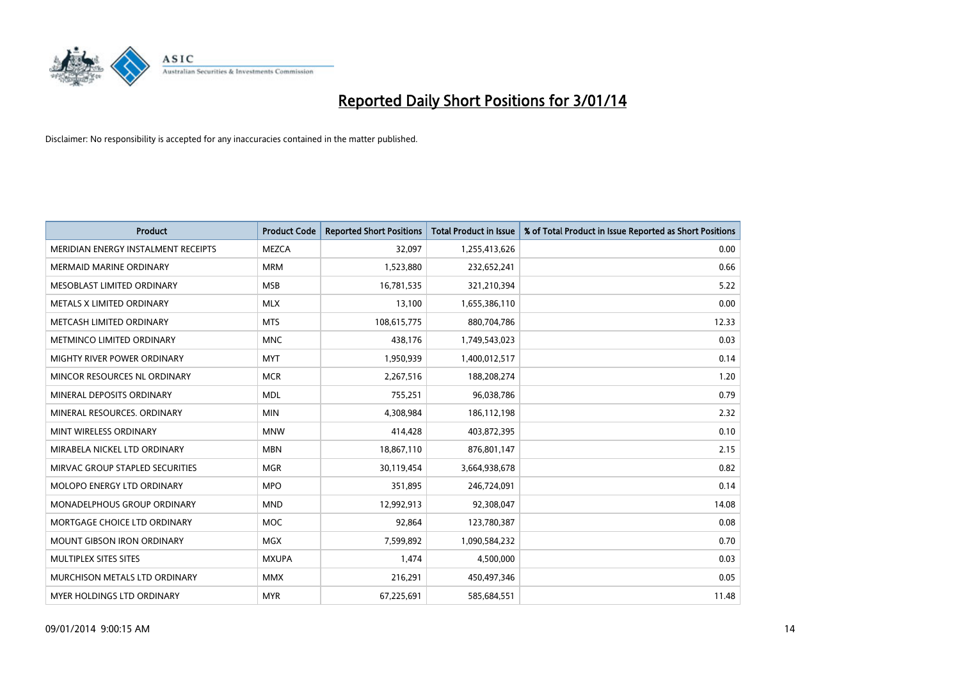

| <b>Product</b>                      | <b>Product Code</b> | <b>Reported Short Positions</b> | Total Product in Issue | % of Total Product in Issue Reported as Short Positions |
|-------------------------------------|---------------------|---------------------------------|------------------------|---------------------------------------------------------|
| MERIDIAN ENERGY INSTALMENT RECEIPTS | <b>MEZCA</b>        | 32,097                          | 1,255,413,626          | 0.00                                                    |
| MERMAID MARINE ORDINARY             | <b>MRM</b>          | 1,523,880                       | 232,652,241            | 0.66                                                    |
| MESOBLAST LIMITED ORDINARY          | <b>MSB</b>          | 16,781,535                      | 321,210,394            | 5.22                                                    |
| METALS X LIMITED ORDINARY           | <b>MLX</b>          | 13,100                          | 1,655,386,110          | 0.00                                                    |
| METCASH LIMITED ORDINARY            | <b>MTS</b>          | 108,615,775                     | 880,704,786            | 12.33                                                   |
| METMINCO LIMITED ORDINARY           | <b>MNC</b>          | 438,176                         | 1,749,543,023          | 0.03                                                    |
| <b>MIGHTY RIVER POWER ORDINARY</b>  | <b>MYT</b>          | 1,950,939                       | 1,400,012,517          | 0.14                                                    |
| MINCOR RESOURCES NL ORDINARY        | <b>MCR</b>          | 2,267,516                       | 188,208,274            | 1.20                                                    |
| MINERAL DEPOSITS ORDINARY           | <b>MDL</b>          | 755,251                         | 96,038,786             | 0.79                                                    |
| MINERAL RESOURCES, ORDINARY         | <b>MIN</b>          | 4,308,984                       | 186,112,198            | 2.32                                                    |
| MINT WIRELESS ORDINARY              | <b>MNW</b>          | 414,428                         | 403,872,395            | 0.10                                                    |
| MIRABELA NICKEL LTD ORDINARY        | <b>MBN</b>          | 18,867,110                      | 876,801,147            | 2.15                                                    |
| MIRVAC GROUP STAPLED SECURITIES     | <b>MGR</b>          | 30,119,454                      | 3,664,938,678          | 0.82                                                    |
| MOLOPO ENERGY LTD ORDINARY          | <b>MPO</b>          | 351,895                         | 246,724,091            | 0.14                                                    |
| MONADELPHOUS GROUP ORDINARY         | <b>MND</b>          | 12,992,913                      | 92,308,047             | 14.08                                                   |
| MORTGAGE CHOICE LTD ORDINARY        | MOC                 | 92,864                          | 123,780,387            | 0.08                                                    |
| <b>MOUNT GIBSON IRON ORDINARY</b>   | MGX                 | 7,599,892                       | 1,090,584,232          | 0.70                                                    |
| MULTIPLEX SITES SITES               | <b>MXUPA</b>        | 1,474                           | 4,500,000              | 0.03                                                    |
| MURCHISON METALS LTD ORDINARY       | <b>MMX</b>          | 216,291                         | 450,497,346            | 0.05                                                    |
| MYER HOLDINGS LTD ORDINARY          | <b>MYR</b>          | 67,225,691                      | 585,684,551            | 11.48                                                   |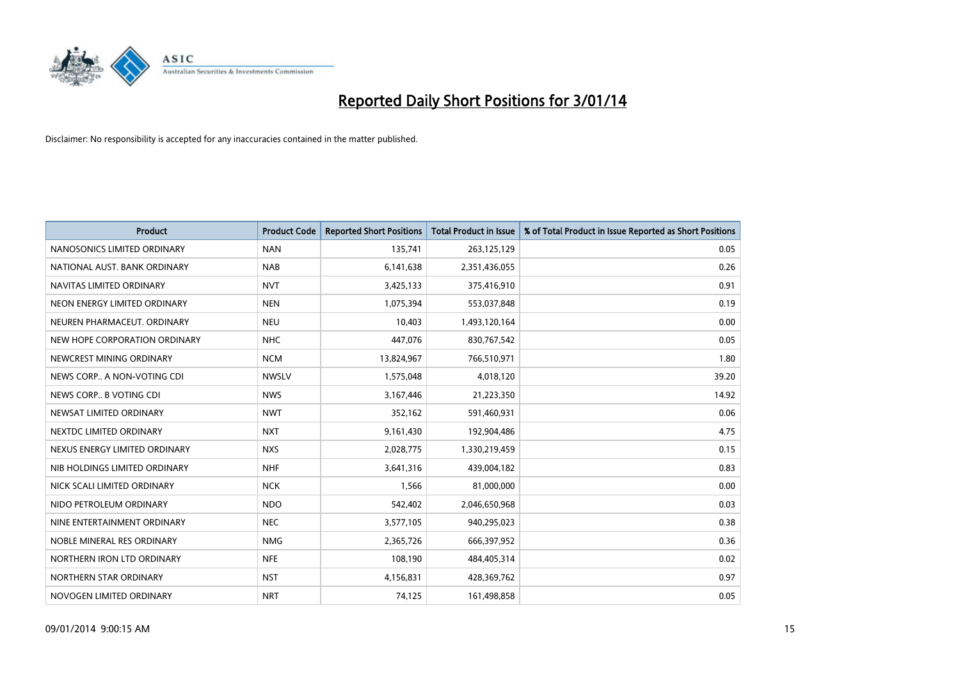

| <b>Product</b>                | <b>Product Code</b> | <b>Reported Short Positions</b> | Total Product in Issue | % of Total Product in Issue Reported as Short Positions |
|-------------------------------|---------------------|---------------------------------|------------------------|---------------------------------------------------------|
| NANOSONICS LIMITED ORDINARY   | <b>NAN</b>          | 135,741                         | 263,125,129            | 0.05                                                    |
| NATIONAL AUST. BANK ORDINARY  | <b>NAB</b>          | 6,141,638                       | 2,351,436,055          | 0.26                                                    |
| NAVITAS LIMITED ORDINARY      | <b>NVT</b>          | 3,425,133                       | 375,416,910            | 0.91                                                    |
| NEON ENERGY LIMITED ORDINARY  | <b>NEN</b>          | 1,075,394                       | 553,037,848            | 0.19                                                    |
| NEUREN PHARMACEUT, ORDINARY   | <b>NEU</b>          | 10,403                          | 1,493,120,164          | 0.00                                                    |
| NEW HOPE CORPORATION ORDINARY | <b>NHC</b>          | 447,076                         | 830,767,542            | 0.05                                                    |
| NEWCREST MINING ORDINARY      | <b>NCM</b>          | 13,824,967                      | 766,510,971            | 1.80                                                    |
| NEWS CORP A NON-VOTING CDI    | <b>NWSLV</b>        | 1,575,048                       | 4,018,120              | 39.20                                                   |
| NEWS CORP B VOTING CDI        | <b>NWS</b>          | 3,167,446                       | 21,223,350             | 14.92                                                   |
| NEWSAT LIMITED ORDINARY       | <b>NWT</b>          | 352,162                         | 591,460,931            | 0.06                                                    |
| NEXTDC LIMITED ORDINARY       | <b>NXT</b>          | 9,161,430                       | 192,904,486            | 4.75                                                    |
| NEXUS ENERGY LIMITED ORDINARY | <b>NXS</b>          | 2,028,775                       | 1,330,219,459          | 0.15                                                    |
| NIB HOLDINGS LIMITED ORDINARY | <b>NHF</b>          | 3,641,316                       | 439,004,182            | 0.83                                                    |
| NICK SCALI LIMITED ORDINARY   | <b>NCK</b>          | 1,566                           | 81,000,000             | 0.00                                                    |
| NIDO PETROLEUM ORDINARY       | <b>NDO</b>          | 542,402                         | 2,046,650,968          | 0.03                                                    |
| NINE ENTERTAINMENT ORDINARY   | <b>NEC</b>          | 3,577,105                       | 940,295,023            | 0.38                                                    |
| NOBLE MINERAL RES ORDINARY    | <b>NMG</b>          | 2,365,726                       | 666,397,952            | 0.36                                                    |
| NORTHERN IRON LTD ORDINARY    | <b>NFE</b>          | 108.190                         | 484,405,314            | 0.02                                                    |
| NORTHERN STAR ORDINARY        | <b>NST</b>          | 4,156,831                       | 428,369,762            | 0.97                                                    |
| NOVOGEN LIMITED ORDINARY      | <b>NRT</b>          | 74,125                          | 161,498,858            | 0.05                                                    |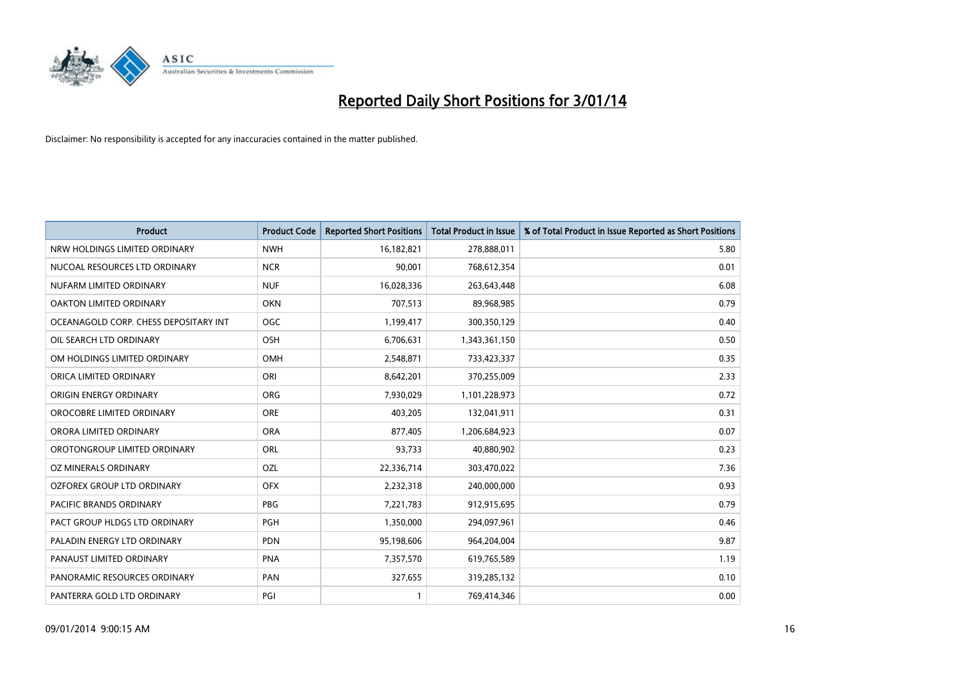

| <b>Product</b>                        | <b>Product Code</b> | <b>Reported Short Positions</b> | <b>Total Product in Issue</b> | % of Total Product in Issue Reported as Short Positions |
|---------------------------------------|---------------------|---------------------------------|-------------------------------|---------------------------------------------------------|
| NRW HOLDINGS LIMITED ORDINARY         | <b>NWH</b>          | 16,182,821                      | 278,888,011                   | 5.80                                                    |
| NUCOAL RESOURCES LTD ORDINARY         | <b>NCR</b>          | 90,001                          | 768,612,354                   | 0.01                                                    |
| NUFARM LIMITED ORDINARY               | <b>NUF</b>          | 16,028,336                      | 263,643,448                   | 6.08                                                    |
| OAKTON LIMITED ORDINARY               | <b>OKN</b>          | 707,513                         | 89,968,985                    | 0.79                                                    |
| OCEANAGOLD CORP. CHESS DEPOSITARY INT | <b>OGC</b>          | 1,199,417                       | 300,350,129                   | 0.40                                                    |
| OIL SEARCH LTD ORDINARY               | OSH                 | 6,706,631                       | 1,343,361,150                 | 0.50                                                    |
| OM HOLDINGS LIMITED ORDINARY          | <b>OMH</b>          | 2,548,871                       | 733,423,337                   | 0.35                                                    |
| ORICA LIMITED ORDINARY                | ORI                 | 8,642,201                       | 370,255,009                   | 2.33                                                    |
| ORIGIN ENERGY ORDINARY                | <b>ORG</b>          | 7,930,029                       | 1,101,228,973                 | 0.72                                                    |
| OROCOBRE LIMITED ORDINARY             | <b>ORE</b>          | 403,205                         | 132,041,911                   | 0.31                                                    |
| ORORA LIMITED ORDINARY                | <b>ORA</b>          | 877,405                         | 1,206,684,923                 | 0.07                                                    |
| OROTONGROUP LIMITED ORDINARY          | <b>ORL</b>          | 93,733                          | 40,880,902                    | 0.23                                                    |
| OZ MINERALS ORDINARY                  | OZL                 | 22,336,714                      | 303,470,022                   | 7.36                                                    |
| OZFOREX GROUP LTD ORDINARY            | <b>OFX</b>          | 2,232,318                       | 240,000,000                   | 0.93                                                    |
| <b>PACIFIC BRANDS ORDINARY</b>        | PBG                 | 7,221,783                       | 912,915,695                   | 0.79                                                    |
| PACT GROUP HLDGS LTD ORDINARY         | <b>PGH</b>          | 1,350,000                       | 294,097,961                   | 0.46                                                    |
| PALADIN ENERGY LTD ORDINARY           | <b>PDN</b>          | 95,198,606                      | 964,204,004                   | 9.87                                                    |
| PANAUST LIMITED ORDINARY              | <b>PNA</b>          | 7,357,570                       | 619,765,589                   | 1.19                                                    |
| PANORAMIC RESOURCES ORDINARY          | PAN                 | 327,655                         | 319,285,132                   | 0.10                                                    |
| PANTERRA GOLD LTD ORDINARY            | PGI                 |                                 | 769,414,346                   | 0.00                                                    |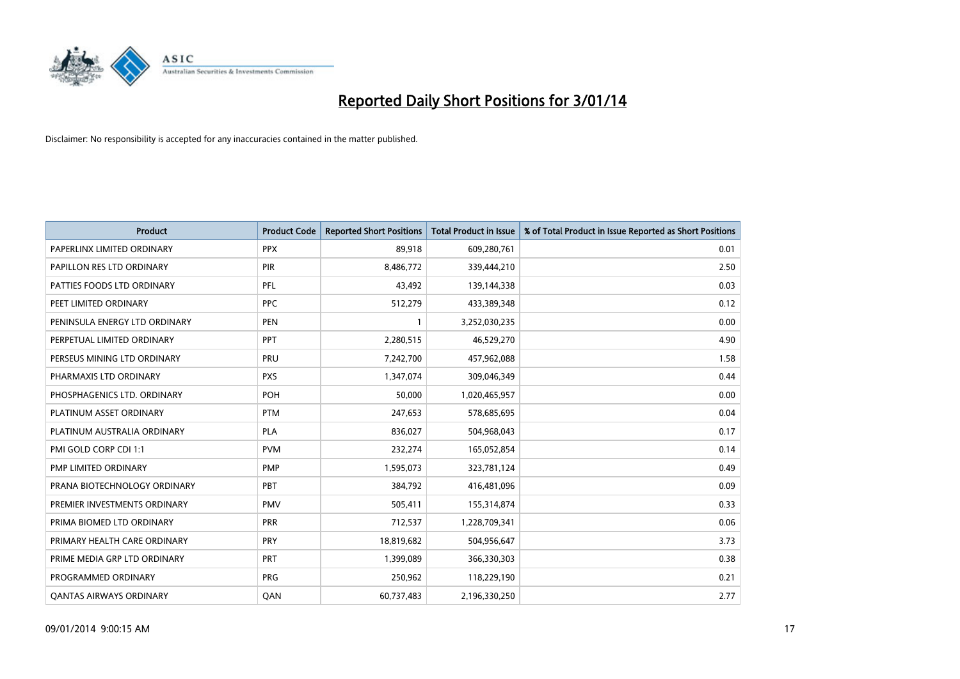

| <b>Product</b>                 | <b>Product Code</b> | <b>Reported Short Positions</b> | Total Product in Issue | % of Total Product in Issue Reported as Short Positions |
|--------------------------------|---------------------|---------------------------------|------------------------|---------------------------------------------------------|
| PAPERLINX LIMITED ORDINARY     | <b>PPX</b>          | 89,918                          | 609,280,761            | 0.01                                                    |
| PAPILLON RES LTD ORDINARY      | <b>PIR</b>          | 8,486,772                       | 339,444,210            | 2.50                                                    |
| PATTIES FOODS LTD ORDINARY     | PFL                 | 43,492                          | 139,144,338            | 0.03                                                    |
| PEET LIMITED ORDINARY          | <b>PPC</b>          | 512,279                         | 433,389,348            | 0.12                                                    |
| PENINSULA ENERGY LTD ORDINARY  | <b>PEN</b>          | $\mathbf{1}$                    | 3,252,030,235          | 0.00                                                    |
| PERPETUAL LIMITED ORDINARY     | PPT                 | 2,280,515                       | 46,529,270             | 4.90                                                    |
| PERSEUS MINING LTD ORDINARY    | PRU                 | 7,242,700                       | 457,962,088            | 1.58                                                    |
| PHARMAXIS LTD ORDINARY         | <b>PXS</b>          | 1,347,074                       | 309,046,349            | 0.44                                                    |
| PHOSPHAGENICS LTD. ORDINARY    | <b>POH</b>          | 50,000                          | 1,020,465,957          | 0.00                                                    |
| PLATINUM ASSET ORDINARY        | <b>PTM</b>          | 247,653                         | 578,685,695            | 0.04                                                    |
| PLATINUM AUSTRALIA ORDINARY    | <b>PLA</b>          | 836,027                         | 504,968,043            | 0.17                                                    |
| PMI GOLD CORP CDI 1:1          | <b>PVM</b>          | 232,274                         | 165,052,854            | 0.14                                                    |
| PMP LIMITED ORDINARY           | <b>PMP</b>          | 1,595,073                       | 323,781,124            | 0.49                                                    |
| PRANA BIOTECHNOLOGY ORDINARY   | <b>PBT</b>          | 384,792                         | 416,481,096            | 0.09                                                    |
| PREMIER INVESTMENTS ORDINARY   | <b>PMV</b>          | 505,411                         | 155,314,874            | 0.33                                                    |
| PRIMA BIOMED LTD ORDINARY      | <b>PRR</b>          | 712,537                         | 1,228,709,341          | 0.06                                                    |
| PRIMARY HEALTH CARE ORDINARY   | <b>PRY</b>          | 18,819,682                      | 504,956,647            | 3.73                                                    |
| PRIME MEDIA GRP LTD ORDINARY   | <b>PRT</b>          | 1,399,089                       | 366,330,303            | 0.38                                                    |
| PROGRAMMED ORDINARY            | PRG                 | 250,962                         | 118,229,190            | 0.21                                                    |
| <b>QANTAS AIRWAYS ORDINARY</b> | QAN                 | 60,737,483                      | 2,196,330,250          | 2.77                                                    |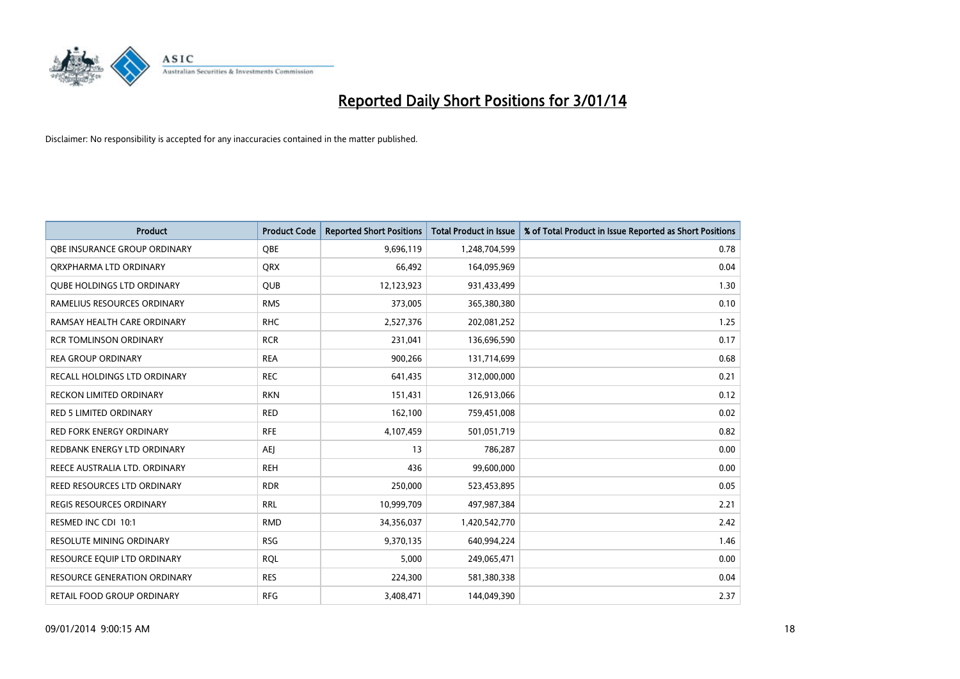

| <b>Product</b>                      | <b>Product Code</b> | <b>Reported Short Positions</b> | Total Product in Issue | % of Total Product in Issue Reported as Short Positions |
|-------------------------------------|---------------------|---------------------------------|------------------------|---------------------------------------------------------|
| OBE INSURANCE GROUP ORDINARY        | <b>OBE</b>          | 9,696,119                       | 1,248,704,599          | 0.78                                                    |
| ORXPHARMA LTD ORDINARY              | QRX                 | 66,492                          | 164,095,969            | 0.04                                                    |
| <b>QUBE HOLDINGS LTD ORDINARY</b>   | QUB                 | 12,123,923                      | 931,433,499            | 1.30                                                    |
| RAMELIUS RESOURCES ORDINARY         | <b>RMS</b>          | 373,005                         | 365,380,380            | 0.10                                                    |
| RAMSAY HEALTH CARE ORDINARY         | <b>RHC</b>          | 2,527,376                       | 202,081,252            | 1.25                                                    |
| <b>RCR TOMLINSON ORDINARY</b>       | <b>RCR</b>          | 231,041                         | 136,696,590            | 0.17                                                    |
| <b>REA GROUP ORDINARY</b>           | <b>REA</b>          | 900,266                         | 131,714,699            | 0.68                                                    |
| RECALL HOLDINGS LTD ORDINARY        | <b>REC</b>          | 641,435                         | 312,000,000            | 0.21                                                    |
| <b>RECKON LIMITED ORDINARY</b>      | <b>RKN</b>          | 151,431                         | 126,913,066            | 0.12                                                    |
| RED 5 LIMITED ORDINARY              | <b>RED</b>          | 162,100                         | 759,451,008            | 0.02                                                    |
| RED FORK ENERGY ORDINARY            | <b>RFE</b>          | 4,107,459                       | 501,051,719            | 0.82                                                    |
| REDBANK ENERGY LTD ORDINARY         | AEJ                 | 13                              | 786,287                | 0.00                                                    |
| REECE AUSTRALIA LTD. ORDINARY       | <b>REH</b>          | 436                             | 99,600,000             | 0.00                                                    |
| REED RESOURCES LTD ORDINARY         | <b>RDR</b>          | 250,000                         | 523,453,895            | 0.05                                                    |
| REGIS RESOURCES ORDINARY            | RRL                 | 10,999,709                      | 497,987,384            | 2.21                                                    |
| RESMED INC CDI 10:1                 | <b>RMD</b>          | 34,356,037                      | 1,420,542,770          | 2.42                                                    |
| RESOLUTE MINING ORDINARY            | <b>RSG</b>          | 9,370,135                       | 640,994,224            | 1.46                                                    |
| RESOURCE EQUIP LTD ORDINARY         | <b>RQL</b>          | 5.000                           | 249,065,471            | 0.00                                                    |
| <b>RESOURCE GENERATION ORDINARY</b> | <b>RES</b>          | 224,300                         | 581,380,338            | 0.04                                                    |
| RETAIL FOOD GROUP ORDINARY          | <b>RFG</b>          | 3,408,471                       | 144,049,390            | 2.37                                                    |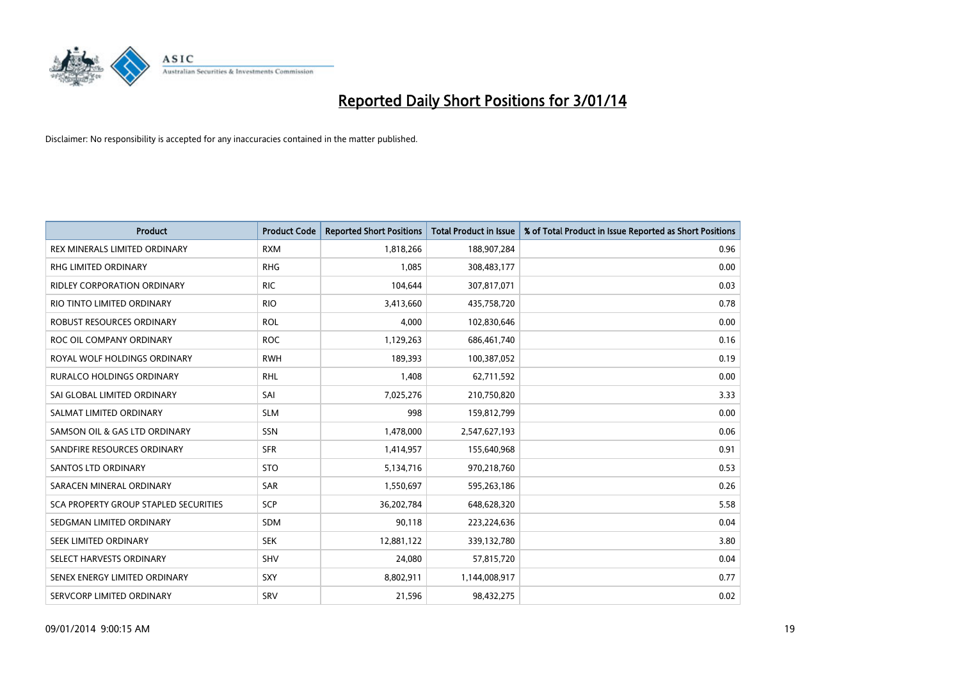

| <b>Product</b>                               | <b>Product Code</b> | <b>Reported Short Positions</b> | <b>Total Product in Issue</b> | % of Total Product in Issue Reported as Short Positions |
|----------------------------------------------|---------------------|---------------------------------|-------------------------------|---------------------------------------------------------|
| <b>REX MINERALS LIMITED ORDINARY</b>         | <b>RXM</b>          | 1,818,266                       | 188,907,284                   | 0.96                                                    |
| RHG LIMITED ORDINARY                         | <b>RHG</b>          | 1,085                           | 308,483,177                   | 0.00                                                    |
| <b>RIDLEY CORPORATION ORDINARY</b>           | <b>RIC</b>          | 104,644                         | 307,817,071                   | 0.03                                                    |
| RIO TINTO LIMITED ORDINARY                   | <b>RIO</b>          | 3,413,660                       | 435,758,720                   | 0.78                                                    |
| ROBUST RESOURCES ORDINARY                    | <b>ROL</b>          | 4,000                           | 102,830,646                   | 0.00                                                    |
| ROC OIL COMPANY ORDINARY                     | <b>ROC</b>          | 1,129,263                       | 686,461,740                   | 0.16                                                    |
| ROYAL WOLF HOLDINGS ORDINARY                 | <b>RWH</b>          | 189,393                         | 100,387,052                   | 0.19                                                    |
| RURALCO HOLDINGS ORDINARY                    | <b>RHL</b>          | 1,408                           | 62,711,592                    | 0.00                                                    |
| SAI GLOBAL LIMITED ORDINARY                  | SAI                 | 7,025,276                       | 210,750,820                   | 3.33                                                    |
| SALMAT LIMITED ORDINARY                      | <b>SLM</b>          | 998                             | 159,812,799                   | 0.00                                                    |
| SAMSON OIL & GAS LTD ORDINARY                | <b>SSN</b>          | 1,478,000                       | 2,547,627,193                 | 0.06                                                    |
| SANDFIRE RESOURCES ORDINARY                  | <b>SFR</b>          | 1,414,957                       | 155,640,968                   | 0.91                                                    |
| SANTOS LTD ORDINARY                          | <b>STO</b>          | 5,134,716                       | 970,218,760                   | 0.53                                                    |
| SARACEN MINERAL ORDINARY                     | <b>SAR</b>          | 1,550,697                       | 595,263,186                   | 0.26                                                    |
| <b>SCA PROPERTY GROUP STAPLED SECURITIES</b> | SCP                 | 36,202,784                      | 648,628,320                   | 5.58                                                    |
| SEDGMAN LIMITED ORDINARY                     | SDM                 | 90,118                          | 223,224,636                   | 0.04                                                    |
| SEEK LIMITED ORDINARY                        | <b>SEK</b>          | 12,881,122                      | 339,132,780                   | 3.80                                                    |
| SELECT HARVESTS ORDINARY                     | <b>SHV</b>          | 24,080                          | 57,815,720                    | 0.04                                                    |
| SENEX ENERGY LIMITED ORDINARY                | <b>SXY</b>          | 8,802,911                       | 1,144,008,917                 | 0.77                                                    |
| SERVCORP LIMITED ORDINARY                    | SRV                 | 21,596                          | 98,432,275                    | 0.02                                                    |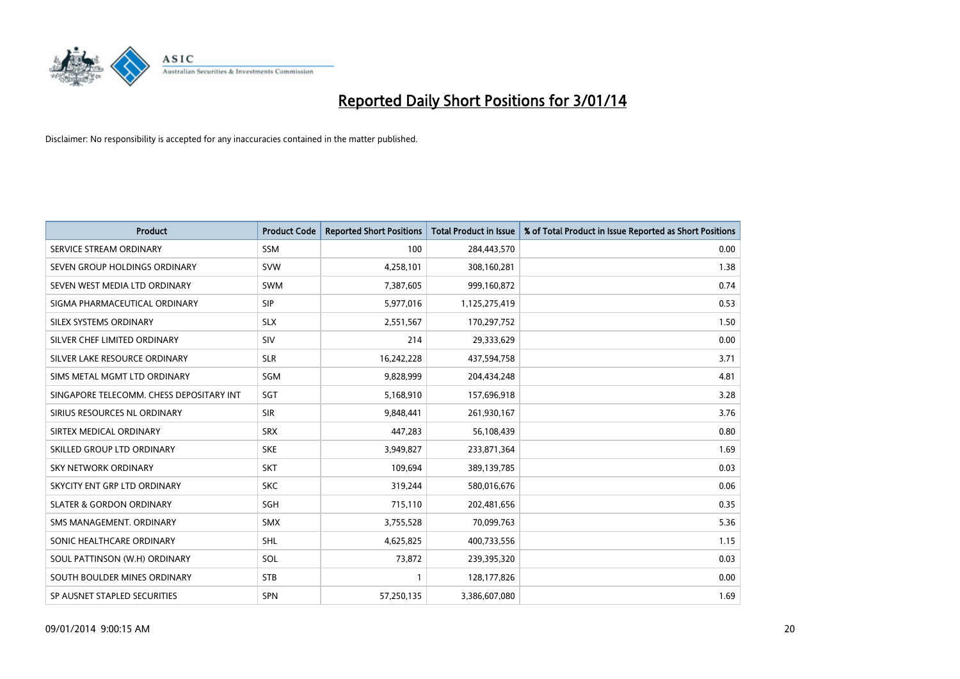

| <b>Product</b>                           | <b>Product Code</b> | <b>Reported Short Positions</b> | Total Product in Issue | % of Total Product in Issue Reported as Short Positions |
|------------------------------------------|---------------------|---------------------------------|------------------------|---------------------------------------------------------|
| SERVICE STREAM ORDINARY                  | <b>SSM</b>          | 100                             | 284,443,570            | 0.00                                                    |
| SEVEN GROUP HOLDINGS ORDINARY            | <b>SVW</b>          | 4,258,101                       | 308,160,281            | 1.38                                                    |
| SEVEN WEST MEDIA LTD ORDINARY            | SWM                 | 7,387,605                       | 999,160,872            | 0.74                                                    |
| SIGMA PHARMACEUTICAL ORDINARY            | <b>SIP</b>          | 5,977,016                       | 1,125,275,419          | 0.53                                                    |
| SILEX SYSTEMS ORDINARY                   | <b>SLX</b>          | 2,551,567                       | 170,297,752            | 1.50                                                    |
| SILVER CHEF LIMITED ORDINARY             | SIV                 | 214                             | 29,333,629             | 0.00                                                    |
| SILVER LAKE RESOURCE ORDINARY            | <b>SLR</b>          | 16,242,228                      | 437,594,758            | 3.71                                                    |
| SIMS METAL MGMT LTD ORDINARY             | SGM                 | 9,828,999                       | 204,434,248            | 4.81                                                    |
| SINGAPORE TELECOMM. CHESS DEPOSITARY INT | SGT                 | 5,168,910                       | 157,696,918            | 3.28                                                    |
| SIRIUS RESOURCES NL ORDINARY             | <b>SIR</b>          | 9,848,441                       | 261,930,167            | 3.76                                                    |
| SIRTEX MEDICAL ORDINARY                  | <b>SRX</b>          | 447,283                         | 56,108,439             | 0.80                                                    |
| SKILLED GROUP LTD ORDINARY               | <b>SKE</b>          | 3,949,827                       | 233,871,364            | 1.69                                                    |
| <b>SKY NETWORK ORDINARY</b>              | <b>SKT</b>          | 109,694                         | 389,139,785            | 0.03                                                    |
| SKYCITY ENT GRP LTD ORDINARY             | <b>SKC</b>          | 319,244                         | 580,016,676            | 0.06                                                    |
| <b>SLATER &amp; GORDON ORDINARY</b>      | SGH                 | 715,110                         | 202,481,656            | 0.35                                                    |
| SMS MANAGEMENT, ORDINARY                 | SMX                 | 3,755,528                       | 70,099,763             | 5.36                                                    |
| SONIC HEALTHCARE ORDINARY                | SHL                 | 4,625,825                       | 400,733,556            | 1.15                                                    |
| SOUL PATTINSON (W.H) ORDINARY            | <b>SOL</b>          | 73,872                          | 239,395,320            | 0.03                                                    |
| SOUTH BOULDER MINES ORDINARY             | <b>STB</b>          | $\mathbf{1}$                    | 128,177,826            | 0.00                                                    |
| SP AUSNET STAPLED SECURITIES             | <b>SPN</b>          | 57,250,135                      | 3,386,607,080          | 1.69                                                    |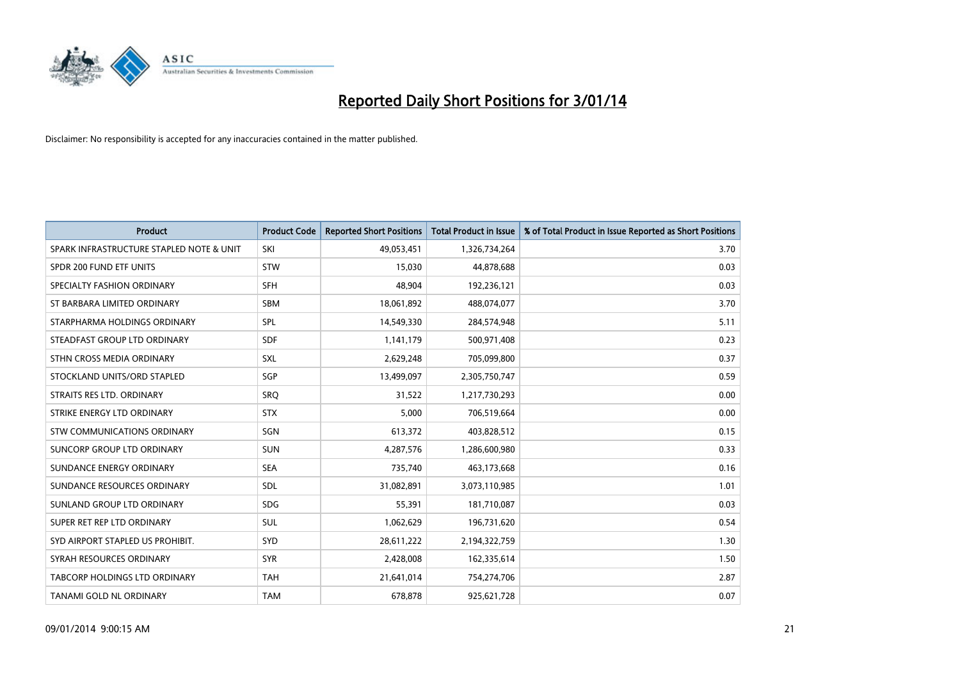

| Product                                  | <b>Product Code</b> | <b>Reported Short Positions</b> | <b>Total Product in Issue</b> | % of Total Product in Issue Reported as Short Positions |
|------------------------------------------|---------------------|---------------------------------|-------------------------------|---------------------------------------------------------|
| SPARK INFRASTRUCTURE STAPLED NOTE & UNIT | SKI                 | 49,053,451                      | 1,326,734,264                 | 3.70                                                    |
| SPDR 200 FUND ETF UNITS                  | <b>STW</b>          | 15,030                          | 44,878,688                    | 0.03                                                    |
| SPECIALTY FASHION ORDINARY               | <b>SFH</b>          | 48,904                          | 192,236,121                   | 0.03                                                    |
| ST BARBARA LIMITED ORDINARY              | <b>SBM</b>          | 18,061,892                      | 488,074,077                   | 3.70                                                    |
| STARPHARMA HOLDINGS ORDINARY             | SPL                 | 14,549,330                      | 284,574,948                   | 5.11                                                    |
| STEADFAST GROUP LTD ORDINARY             | <b>SDF</b>          | 1,141,179                       | 500,971,408                   | 0.23                                                    |
| STHN CROSS MEDIA ORDINARY                | <b>SXL</b>          | 2,629,248                       | 705,099,800                   | 0.37                                                    |
| STOCKLAND UNITS/ORD STAPLED              | SGP                 | 13,499,097                      | 2,305,750,747                 | 0.59                                                    |
| STRAITS RES LTD. ORDINARY                | SRO                 | 31,522                          | 1,217,730,293                 | 0.00                                                    |
| STRIKE ENERGY LTD ORDINARY               | <b>STX</b>          | 5,000                           | 706,519,664                   | 0.00                                                    |
| STW COMMUNICATIONS ORDINARY              | SGN                 | 613,372                         | 403,828,512                   | 0.15                                                    |
| SUNCORP GROUP LTD ORDINARY               | <b>SUN</b>          | 4,287,576                       | 1,286,600,980                 | 0.33                                                    |
| SUNDANCE ENERGY ORDINARY                 | <b>SEA</b>          | 735,740                         | 463,173,668                   | 0.16                                                    |
| SUNDANCE RESOURCES ORDINARY              | <b>SDL</b>          | 31,082,891                      | 3,073,110,985                 | 1.01                                                    |
| SUNLAND GROUP LTD ORDINARY               | <b>SDG</b>          | 55,391                          | 181,710,087                   | 0.03                                                    |
| SUPER RET REP LTD ORDINARY               | <b>SUL</b>          | 1,062,629                       | 196,731,620                   | 0.54                                                    |
| SYD AIRPORT STAPLED US PROHIBIT.         | <b>SYD</b>          | 28,611,222                      | 2,194,322,759                 | 1.30                                                    |
| SYRAH RESOURCES ORDINARY                 | <b>SYR</b>          | 2,428,008                       | 162,335,614                   | 1.50                                                    |
| TABCORP HOLDINGS LTD ORDINARY            | <b>TAH</b>          | 21,641,014                      | 754,274,706                   | 2.87                                                    |
| TANAMI GOLD NL ORDINARY                  | <b>TAM</b>          | 678,878                         | 925,621,728                   | 0.07                                                    |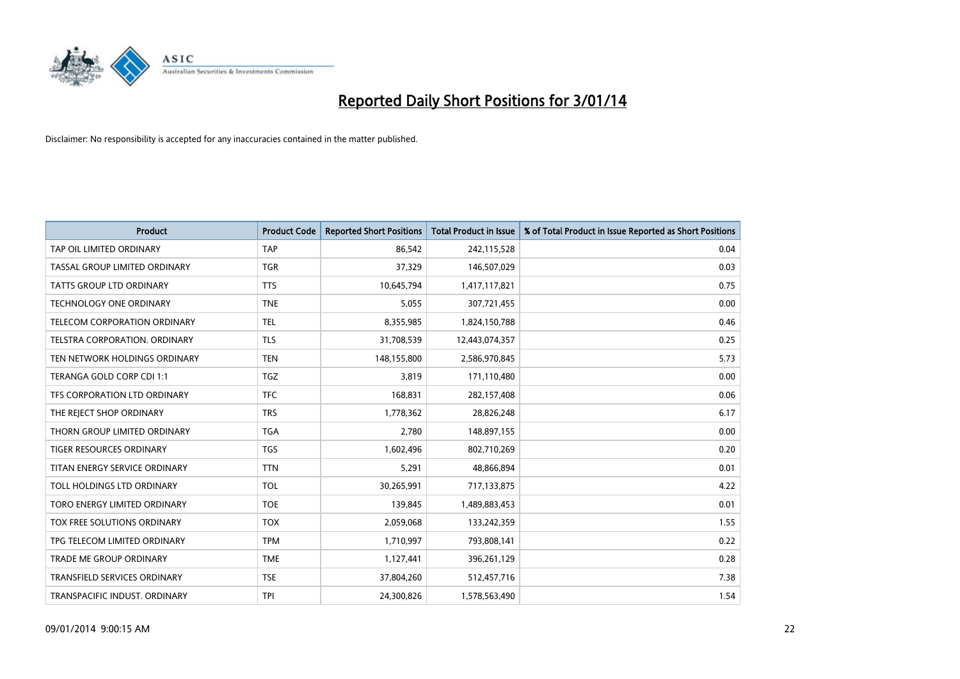

| Product                             | <b>Product Code</b> | <b>Reported Short Positions</b> | <b>Total Product in Issue</b> | % of Total Product in Issue Reported as Short Positions |
|-------------------------------------|---------------------|---------------------------------|-------------------------------|---------------------------------------------------------|
| TAP OIL LIMITED ORDINARY            | <b>TAP</b>          | 86,542                          | 242,115,528                   | 0.04                                                    |
| TASSAL GROUP LIMITED ORDINARY       | <b>TGR</b>          | 37,329                          | 146,507,029                   | 0.03                                                    |
| TATTS GROUP LTD ORDINARY            | <b>TTS</b>          | 10,645,794                      | 1,417,117,821                 | 0.75                                                    |
| <b>TECHNOLOGY ONE ORDINARY</b>      | <b>TNE</b>          | 5,055                           | 307,721,455                   | 0.00                                                    |
| TELECOM CORPORATION ORDINARY        | TEL                 | 8,355,985                       | 1,824,150,788                 | 0.46                                                    |
| TELSTRA CORPORATION, ORDINARY       | <b>TLS</b>          | 31,708,539                      | 12,443,074,357                | 0.25                                                    |
| TEN NETWORK HOLDINGS ORDINARY       | <b>TEN</b>          | 148,155,800                     | 2,586,970,845                 | 5.73                                                    |
| TERANGA GOLD CORP CDI 1:1           | <b>TGZ</b>          | 3,819                           | 171,110,480                   | 0.00                                                    |
| TFS CORPORATION LTD ORDINARY        | <b>TFC</b>          | 168,831                         | 282,157,408                   | 0.06                                                    |
| THE REJECT SHOP ORDINARY            | <b>TRS</b>          | 1,778,362                       | 28,826,248                    | 6.17                                                    |
| THORN GROUP LIMITED ORDINARY        | <b>TGA</b>          | 2,780                           | 148,897,155                   | 0.00                                                    |
| <b>TIGER RESOURCES ORDINARY</b>     | <b>TGS</b>          | 1,602,496                       | 802,710,269                   | 0.20                                                    |
| TITAN ENERGY SERVICE ORDINARY       | <b>TTN</b>          | 5,291                           | 48,866,894                    | 0.01                                                    |
| TOLL HOLDINGS LTD ORDINARY          | <b>TOL</b>          | 30,265,991                      | 717,133,875                   | 4.22                                                    |
| TORO ENERGY LIMITED ORDINARY        | <b>TOE</b>          | 139,845                         | 1,489,883,453                 | 0.01                                                    |
| TOX FREE SOLUTIONS ORDINARY         | <b>TOX</b>          | 2,059,068                       | 133,242,359                   | 1.55                                                    |
| TPG TELECOM LIMITED ORDINARY        | <b>TPM</b>          | 1,710,997                       | 793,808,141                   | 0.22                                                    |
| <b>TRADE ME GROUP ORDINARY</b>      | <b>TME</b>          | 1,127,441                       | 396,261,129                   | 0.28                                                    |
| <b>TRANSFIELD SERVICES ORDINARY</b> | <b>TSE</b>          | 37,804,260                      | 512,457,716                   | 7.38                                                    |
| TRANSPACIFIC INDUST. ORDINARY       | <b>TPI</b>          | 24,300,826                      | 1,578,563,490                 | 1.54                                                    |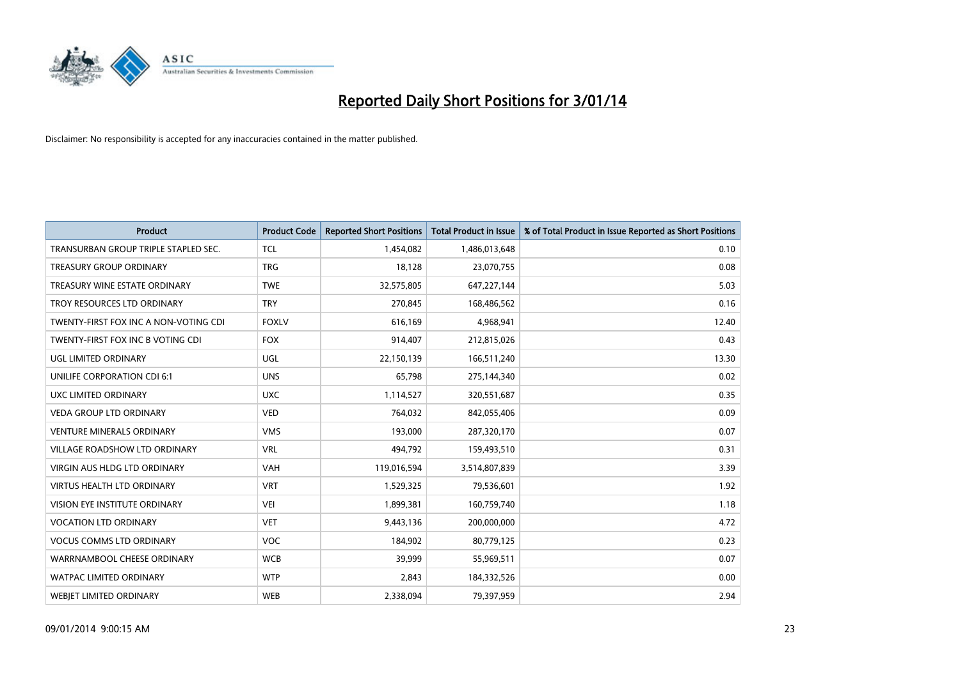

| <b>Product</b>                        | <b>Product Code</b> | <b>Reported Short Positions</b> | <b>Total Product in Issue</b> | % of Total Product in Issue Reported as Short Positions |
|---------------------------------------|---------------------|---------------------------------|-------------------------------|---------------------------------------------------------|
| TRANSURBAN GROUP TRIPLE STAPLED SEC.  | <b>TCL</b>          | 1,454,082                       | 1,486,013,648                 | 0.10                                                    |
| <b>TREASURY GROUP ORDINARY</b>        | <b>TRG</b>          | 18,128                          | 23,070,755                    | 0.08                                                    |
| TREASURY WINE ESTATE ORDINARY         | <b>TWE</b>          | 32,575,805                      | 647,227,144                   | 5.03                                                    |
| TROY RESOURCES LTD ORDINARY           | <b>TRY</b>          | 270,845                         | 168,486,562                   | 0.16                                                    |
| TWENTY-FIRST FOX INC A NON-VOTING CDI | <b>FOXLV</b>        | 616,169                         | 4,968,941                     | 12.40                                                   |
| TWENTY-FIRST FOX INC B VOTING CDI     | <b>FOX</b>          | 914,407                         | 212,815,026                   | 0.43                                                    |
| UGL LIMITED ORDINARY                  | UGL                 | 22,150,139                      | 166,511,240                   | 13.30                                                   |
| UNILIFE CORPORATION CDI 6:1           | <b>UNS</b>          | 65,798                          | 275,144,340                   | 0.02                                                    |
| UXC LIMITED ORDINARY                  | <b>UXC</b>          | 1,114,527                       | 320,551,687                   | 0.35                                                    |
| <b>VEDA GROUP LTD ORDINARY</b>        | <b>VED</b>          | 764,032                         | 842,055,406                   | 0.09                                                    |
| <b>VENTURE MINERALS ORDINARY</b>      | <b>VMS</b>          | 193,000                         | 287,320,170                   | 0.07                                                    |
| <b>VILLAGE ROADSHOW LTD ORDINARY</b>  | <b>VRL</b>          | 494,792                         | 159,493,510                   | 0.31                                                    |
| VIRGIN AUS HLDG LTD ORDINARY          | VAH                 | 119,016,594                     | 3,514,807,839                 | 3.39                                                    |
| <b>VIRTUS HEALTH LTD ORDINARY</b>     | <b>VRT</b>          | 1,529,325                       | 79,536,601                    | 1.92                                                    |
| VISION EYE INSTITUTE ORDINARY         | VEI                 | 1,899,381                       | 160,759,740                   | 1.18                                                    |
| <b>VOCATION LTD ORDINARY</b>          | <b>VET</b>          | 9,443,136                       | 200,000,000                   | 4.72                                                    |
| <b>VOCUS COMMS LTD ORDINARY</b>       | <b>VOC</b>          | 184,902                         | 80,779,125                    | 0.23                                                    |
| WARRNAMBOOL CHEESE ORDINARY           | <b>WCB</b>          | 39,999                          | 55,969,511                    | 0.07                                                    |
| <b>WATPAC LIMITED ORDINARY</b>        | <b>WTP</b>          | 2,843                           | 184,332,526                   | 0.00                                                    |
| <b>WEBJET LIMITED ORDINARY</b>        | <b>WEB</b>          | 2,338,094                       | 79,397,959                    | 2.94                                                    |